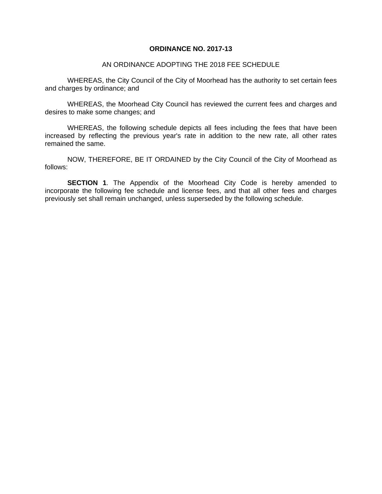#### **ORDINANCE NO. 2017-13**

#### AN ORDINANCE ADOPTING THE 2018 FEE SCHEDULE

WHEREAS, the City Council of the City of Moorhead has the authority to set certain fees and charges by ordinance; and

WHEREAS, the Moorhead City Council has reviewed the current fees and charges and desires to make some changes; and

WHEREAS, the following schedule depicts all fees including the fees that have been increased by reflecting the previous year's rate in addition to the new rate, all other rates remained the same.

NOW, THEREFORE, BE IT ORDAINED by the City Council of the City of Moorhead as follows:

**SECTION 1**. The Appendix of the Moorhead City Code is hereby amended to incorporate the following fee schedule and license fees, and that all other fees and charges previously set shall remain unchanged, unless superseded by the following schedule.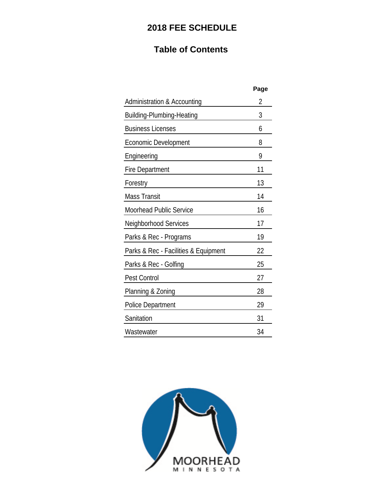# **2018 FEE SCHEDULE**

# **Table of Contents**

|                                        | Page |
|----------------------------------------|------|
| <b>Administration &amp; Accounting</b> | 2    |
| <b>Building-Plumbing-Heating</b>       | 3    |
| <b>Business Licenses</b>               | 6    |
| Economic Development                   | 8    |
| Engineering                            | 9    |
| <b>Fire Department</b>                 | 11   |
| Forestry                               | 13   |
| <b>Mass Transit</b>                    | 14   |
| Moorhead Public Service                | 16   |
| Neighborhood Services                  | 17   |
| Parks & Rec - Programs                 | 19   |
| Parks & Rec - Facilities & Equipment   | 22   |
| Parks & Rec - Golfing                  | 25   |
| <b>Pest Control</b>                    | 27   |
| Planning & Zoning                      | 28   |
| Police Department                      | 29   |
| Sanitation                             | 31   |
| Wastewater                             | 34   |
|                                        |      |

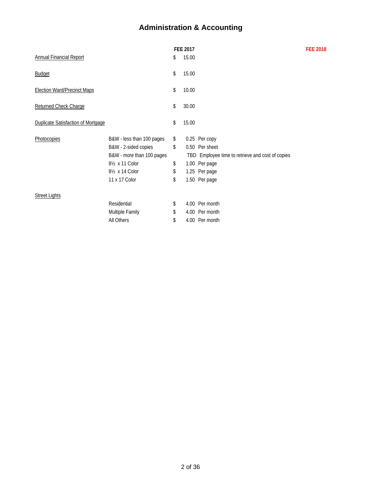# **Administration & Accounting**

|                             |                                           |       |                 | <b>FEE 2018</b>                                                                                                                                                                              |
|-----------------------------|-------------------------------------------|-------|-----------------|----------------------------------------------------------------------------------------------------------------------------------------------------------------------------------------------|
|                             | \$                                        | 15.00 |                 |                                                                                                                                                                                              |
|                             | \$                                        | 15.00 |                 |                                                                                                                                                                                              |
|                             | \$                                        | 10.00 |                 |                                                                                                                                                                                              |
|                             | \$                                        | 30.00 |                 |                                                                                                                                                                                              |
|                             | \$                                        | 15.00 |                 |                                                                                                                                                                                              |
| B&W - less than 100 pages   | \$                                        |       |                 |                                                                                                                                                                                              |
| B&W - 2-sided copies        | \$                                        |       |                 |                                                                                                                                                                                              |
| B&W - more than 100 pages   |                                           |       |                 |                                                                                                                                                                                              |
| 81/ <sub>2</sub> x 11 Color | \$                                        |       |                 |                                                                                                                                                                                              |
| 81/2 x 14 Color             | \$                                        |       |                 |                                                                                                                                                                                              |
| 11 x 17 Color               | \$                                        |       |                 |                                                                                                                                                                                              |
|                             |                                           |       |                 |                                                                                                                                                                                              |
| Residential                 | \$                                        |       |                 |                                                                                                                                                                                              |
| Multiple Family             | \$                                        |       |                 |                                                                                                                                                                                              |
| All Others                  | \$                                        |       |                 |                                                                                                                                                                                              |
|                             | <b>Duplicate Satisfaction of Mortgage</b> |       | <b>FEE 2017</b> | 0.25 Per copy<br>0.50 Per sheet<br>TBD Employee time to retrieve and cost of copies<br>1.00 Per page<br>1.25 Per page<br>1.50 Per page<br>4.00 Per month<br>4.00 Per month<br>4.00 Per month |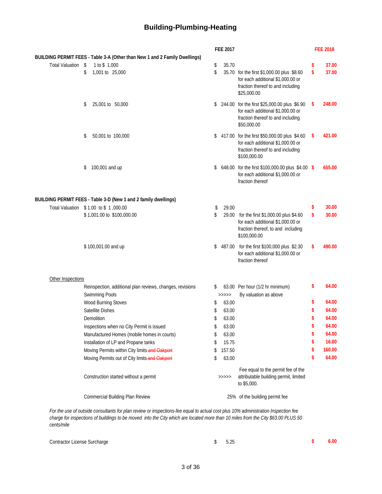## **Building-Plumbing-Heating**

|                    |                                                                            | FEE 2017 |        |                                                                                                                                        | <b>FEE 2018</b> |
|--------------------|----------------------------------------------------------------------------|----------|--------|----------------------------------------------------------------------------------------------------------------------------------------|-----------------|
|                    | BUILDING PERMIT FEES - Table 3-A (Other than New 1 and 2 Family Dwellings) |          |        |                                                                                                                                        |                 |
| Total Valuation \$ | 1 to \$1,000                                                               | \$       | 35.70  |                                                                                                                                        | \$<br>37.00     |
|                    | 1,001 to 25,000<br>\$                                                      | \$       |        | 35.70 for the first \$1,000.00 plus \$8.60<br>for each additional \$1,000.00 or<br>fraction thereof to and including<br>\$25,000.00    | \$<br>37.00     |
|                    | 25,001 to 50,000<br>\$                                                     | \$       |        | 244.00 for the first \$25,000.00 plus \$6.90<br>for each additional \$1,000.00 or<br>fraction thereof to and including<br>\$50,000.00  | \$<br>248.00    |
|                    | 50,001 to 100,000<br>\$                                                    | \$       |        | 417.00 for the first \$50,000.00 plus \$4.60<br>for each additional \$1,000.00 or<br>fraction thereof to and including<br>\$100,000.00 | \$<br>421.00    |
|                    | 100,001 and up<br>\$                                                       |          |        | 648.00 for the first \$100,000.00 plus \$4.00 \$<br>for each additional \$1,000.00 or<br>fraction thereof                              | 655.00          |
|                    | BUILDING PERMIT FEES - Table 3-D (New 1 and 2 family dwellings)            |          |        |                                                                                                                                        |                 |
|                    | Total Valuation \$1.00 to \$1,000.00                                       | \$       | 29.00  |                                                                                                                                        | \$<br>30.00     |
|                    | \$1,001.00 to \$100,000.00                                                 | \$       | 29.00  | for the first \$1,000.00 plus \$4.60<br>for each additional \$1,000.00 or<br>fraction thereof, to and including<br>\$100,000.00        | \$<br>30.00     |
|                    | \$100,001.00 and up                                                        | \$       |        | 487.00 for the first \$100,000 plus \$2.30<br>for each additional \$1,000.00 or<br>fraction thereof                                    | \$<br>490.00    |
| Other Inspections  |                                                                            |          |        |                                                                                                                                        |                 |
|                    | Reinspection, additional plan reviews, changes, revisions                  | \$       |        | 63.00 Per hour (1/2 hr minimum)                                                                                                        | \$<br>64.00     |
|                    | Swimming Pools                                                             | >>>>>    | 63.00  | By valuation as above                                                                                                                  | \$<br>64.00     |
|                    | Wood Burning Stoves<br>Satellite Dishes                                    | \$       | 63.00  |                                                                                                                                        | \$<br>64.00     |
|                    | Demolition                                                                 | \$<br>\$ | 63.00  |                                                                                                                                        | \$<br>64.00     |
|                    | Inspections when no City Permit is issued                                  | \$       | 63.00  |                                                                                                                                        | \$<br>64.00     |
|                    | Manufactured Homes (mobile homes in courts)                                | \$       | 63.00  |                                                                                                                                        | \$<br>64.00     |
|                    | Installation of LP and Propane tanks                                       | \$       | 15.75  |                                                                                                                                        | \$<br>16.00     |
|                    | Moving Permits within City limits-and Oakport                              | \$       | 157.50 |                                                                                                                                        | \$<br>160.00    |
|                    | Moving Permits out of City limits-and-Oakport                              | \$       | 63.00  |                                                                                                                                        | \$<br>64.00     |
|                    |                                                                            |          |        |                                                                                                                                        |                 |
|                    | Construction started without a permit                                      |          | >>>>>  | Fee equal to the permit fee of the<br>attributable building permit, limited<br>to \$5,000.                                             |                 |
|                    | <b>Commercial Building Plan Review</b>                                     |          |        | 25% of the building permit fee                                                                                                         |                 |

*cents/mile* 

| Contractor License Surcharge | \$ 5.25 |  | 6.00 |
|------------------------------|---------|--|------|
|                              |         |  |      |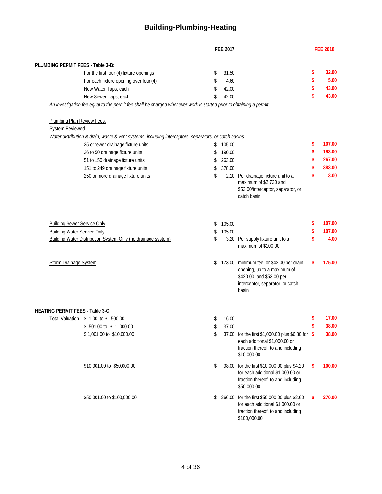## **Building-Plumbing-Heating**

|                                        |                                                                                                                     |          | <b>FEE 2017</b> |                                                                                                                                                   | <b>FEE 2018</b> |
|----------------------------------------|---------------------------------------------------------------------------------------------------------------------|----------|-----------------|---------------------------------------------------------------------------------------------------------------------------------------------------|-----------------|
|                                        |                                                                                                                     |          |                 |                                                                                                                                                   |                 |
| PLUMBING PERMIT FEES - Table 3-B:      | For the first four (4) fixture openings                                                                             | \$       | 31.50           |                                                                                                                                                   | \$<br>32.00     |
|                                        | For each fixture opening over four (4)                                                                              | \$       | 4.60            |                                                                                                                                                   | \$<br>5.00      |
|                                        | New Water Taps, each                                                                                                | \$       | 42.00           |                                                                                                                                                   | \$<br>43.00     |
|                                        | New Sewer Taps, each                                                                                                | \$       | 42.00           |                                                                                                                                                   | \$<br>43.00     |
|                                        | An investigation fee equal to the permit fee shall be charged whenever work is started prior to obtaining a permit. |          |                 |                                                                                                                                                   |                 |
| Plumbing Plan Review Fees:             |                                                                                                                     |          |                 |                                                                                                                                                   |                 |
| System Reviewed                        |                                                                                                                     |          |                 |                                                                                                                                                   |                 |
|                                        | Water distribution & drain, waste & vent systems, including interceptors, separators, or catch basins               |          |                 |                                                                                                                                                   |                 |
|                                        | 25 or fewer drainage fixture units                                                                                  | \$       | 105.00          |                                                                                                                                                   | \$<br>107.00    |
|                                        | 26 to 50 drainage fixture units                                                                                     | \$       | 190.00          |                                                                                                                                                   | \$<br>193.00    |
|                                        | 51 to 150 drainage fixture units                                                                                    | S        | 263.00          |                                                                                                                                                   | \$<br>267.00    |
|                                        | 151 to 249 drainage fixture units                                                                                   | \$       | 378.00          |                                                                                                                                                   | \$<br>383.00    |
|                                        | 250 or more drainage fixture units                                                                                  | \$       |                 | 2.10 Per drainage fixture unit to a<br>maximum of \$2,730 and<br>\$53.00/interceptor, separator, or<br>catch basin                                | \$<br>3.00      |
| <b>Building Sewer Service Only</b>     |                                                                                                                     | \$       | 105.00          |                                                                                                                                                   | \$<br>107.00    |
| <b>Building Water Service Only</b>     |                                                                                                                     | \$       | 105.00          |                                                                                                                                                   | \$<br>107.00    |
|                                        | Building Water Distribution System Only (no drainage system)                                                        | \$       |                 | 3.20 Per supply fixture unit to a<br>maximum of \$100.00                                                                                          | \$<br>4.00      |
| <b>Storm Drainage System</b>           |                                                                                                                     | \$       |                 | 173.00 minimum fee, or \$42.00 per drain<br>opening, up to a maximum of<br>\$420.00, and \$53.00 per<br>interceptor, separator, or catch<br>basin | \$<br>175.00    |
|                                        |                                                                                                                     |          |                 |                                                                                                                                                   |                 |
| <b>HEATING PERMIT FEES - Table 3-C</b> |                                                                                                                     |          | 16.00           |                                                                                                                                                   | \$<br>17.00     |
|                                        | Total Valuation \$ 1.00 to \$ 500.00<br>\$501.00 to \$1,000.00                                                      | \$       |                 |                                                                                                                                                   | \$<br>38.00     |
|                                        | \$1,001.00 to \$10,000.00                                                                                           | \$<br>\$ | 37.00           | 37.00 for the first \$1,000.00 plus \$6.80 for \$<br>each additional \$1,000.00 or<br>fraction thereof, to and including<br>\$10,000.00           | 38.00           |
|                                        | \$10,001.00 to \$50,000.00                                                                                          | \$       |                 | 98.00 for the first \$10,000.00 plus \$4.20<br>for each additional \$1,000.00 or<br>fraction thereof, to and including<br>\$50,000.00             | \$<br>100.00    |
|                                        | \$50,001.00 to \$100,000.00                                                                                         | \$       |                 | 266.00 for the first \$50,000.00 plus \$2.60<br>for each additional \$1,000.00 or<br>fraction thereof, to and including<br>\$100,000.00           | \$<br>270.00    |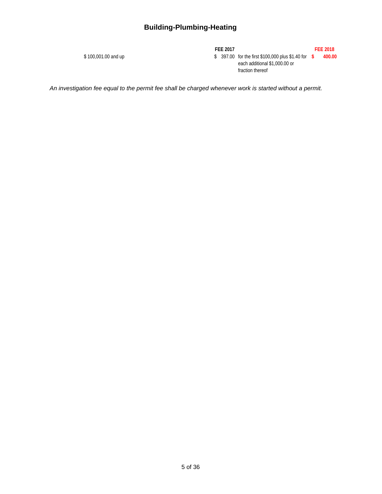## **Building-Plumbing-Heating**

**FEE 2017 FEE 2018** \$ 397.00 for the first \$100,000 plus \$1.40 for **\$ 400.00** 400.00 and up each additional \$1,000.00 or fraction thereof

*An investigation fee equal to the permit fee shall be charged whenever work is started without a permit.*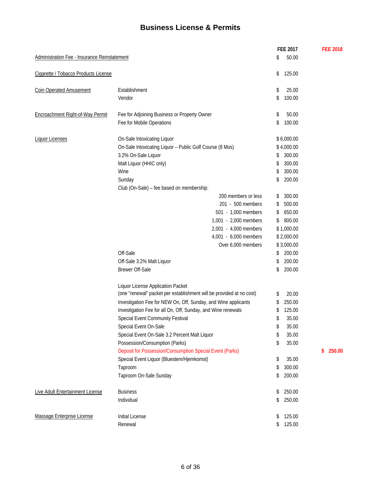## **Business License & Permits**

|                                              |                                                                      | <b>FEE 2017</b> | <b>FEE 2018</b> |
|----------------------------------------------|----------------------------------------------------------------------|-----------------|-----------------|
| Administration Fee - Insurance Reinstatement |                                                                      | 50.00<br>\$     |                 |
| Cigarette / Tobacco Products License         |                                                                      | 125.00<br>\$    |                 |
| <b>Coin Operated Amusement</b>               | Establishment                                                        | 25.00<br>\$     |                 |
|                                              | Vendor                                                               | 100.00<br>\$    |                 |
| Encroachment Right-of-Way Permit             | Fee for Adjoining Business or Property Owner                         | 50.00<br>\$     |                 |
|                                              | Fee for Mobile Operations                                            | 100.00<br>\$    |                 |
| <b>Liquor Licenses</b>                       | On-Sale Intoxicating Liquor                                          | \$6,000.00      |                 |
|                                              | On-Sale Intoxicating Liquor - Public Golf Course (8 Mos)             | \$4,000.00      |                 |
|                                              | 3.2% On-Sale Liquor                                                  | 300.00<br>\$    |                 |
|                                              | Malt Liquor (HHIC only)                                              | 300.00<br>\$    |                 |
|                                              | Wine                                                                 | 300.00<br>\$    |                 |
|                                              | Sunday                                                               | 200.00<br>\$    |                 |
|                                              | Club (On-Sale) - fee based on membership:                            |                 |                 |
|                                              | 200 members or less                                                  | 300.00<br>\$    |                 |
|                                              | 201 - 500 members                                                    | 500.00<br>\$    |                 |
|                                              | 501 - 1,000 members                                                  | 650.00<br>\$    |                 |
|                                              | 1,001 - 2,000 members                                                | 800.00<br>\$    |                 |
|                                              | 2,001 - 4,000 members                                                | \$1,000.00      |                 |
|                                              | 4,001 - 6,000 members                                                | \$2,000.00      |                 |
|                                              | Over 6,000 members                                                   | \$3,000.00      |                 |
|                                              | Off-Sale                                                             | 200.00<br>\$    |                 |
|                                              | Off-Sale 3.2% Malt Liquor                                            | 200.00<br>\$    |                 |
|                                              | <b>Brewer Off-Sale</b>                                               | 200.00<br>\$    |                 |
|                                              | Liquor License Application Packet                                    |                 |                 |
|                                              | (one "renewal" packet per establishment will be provided at no cost) | 20.00<br>\$     |                 |
|                                              | Investigation Fee for NEW On, Off, Sunday, and Wine applicants       | 250.00<br>\$    |                 |
|                                              | Investigation Fee for all On, Off, Sunday, and Wine renewals         | 125.00<br>\$    |                 |
|                                              | Special Event Community Festival                                     | 35.00<br>\$     |                 |
|                                              | Special Event On-Sale                                                | 35.00<br>\$     |                 |
|                                              | Special Event On-Sale 3.2 Percent Malt Liquor                        | 35.00<br>\$     |                 |
|                                              | Possession/Consumption (Parks)                                       | 35.00<br>\$     |                 |
|                                              | Deposit for Possession/Consumption Special Event (Parks)             |                 | 250.00<br>\$    |
|                                              | Special Event Liquor (Bluestem/Hjemkomst)                            | 35.00<br>\$     |                 |
|                                              | Taproom                                                              | 300.00<br>\$    |                 |
|                                              | Taproom On-Sale Sunday                                               | 200.00<br>\$    |                 |
|                                              |                                                                      |                 |                 |
| Live Adult Entertainment License             | <b>Business</b>                                                      | 250.00<br>\$    |                 |
|                                              | Individual                                                           | 250.00<br>\$    |                 |
| Massage Enterprise License                   | <b>Initial License</b>                                               | 125.00<br>\$    |                 |
|                                              | Renewal                                                              | 125.00<br>\$    |                 |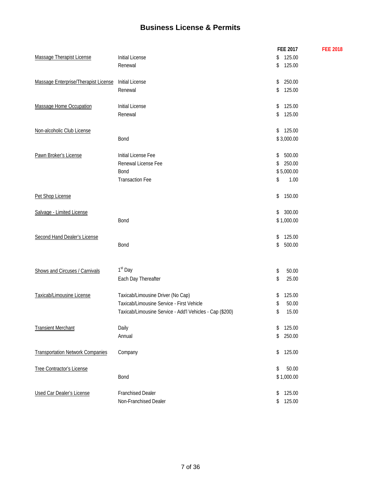## **Business License & Permits**

|                                         |                                                          | FEE 2017     | <b>FEE 2018</b> |
|-----------------------------------------|----------------------------------------------------------|--------------|-----------------|
| Massage Therapist License               | <b>Initial License</b>                                   | 125.00<br>\$ |                 |
|                                         | Renewal                                                  | 125.00<br>\$ |                 |
| Massage Enterprise/Therapist License    | Initial License                                          | 250.00<br>\$ |                 |
|                                         | Renewal                                                  | 125.00<br>\$ |                 |
| Massage Home Occupation                 | <b>Initial License</b>                                   | 125.00<br>\$ |                 |
|                                         | Renewal                                                  | 125.00<br>\$ |                 |
| Non-alcoholic Club License              |                                                          | 125.00<br>\$ |                 |
|                                         | Bond                                                     | \$3,000.00   |                 |
| Pawn Broker's License                   | Initial License Fee                                      | 500.00<br>\$ |                 |
|                                         | Renewal License Fee                                      | 250.00<br>\$ |                 |
|                                         | <b>Bond</b>                                              | \$5,000.00   |                 |
|                                         | <b>Transaction Fee</b>                                   | \$<br>1.00   |                 |
| Pet Shop License                        |                                                          | 150.00<br>\$ |                 |
| Salvage - Limited License               |                                                          | 300.00<br>\$ |                 |
|                                         | Bond                                                     | \$1,000.00   |                 |
| Second Hand Dealer's License            |                                                          | 125.00<br>\$ |                 |
|                                         | Bond                                                     | 500.00<br>\$ |                 |
| Shows and Circuses / Carnivals          | 1 <sup>st</sup> Day                                      | 50.00<br>\$  |                 |
|                                         | Each Day Thereafter                                      | 25.00<br>\$  |                 |
| Taxicab/Limousine License               | Taxicab/Limousine Driver (No Cap)                        | 125.00<br>\$ |                 |
|                                         | Taxicab/Limousine Service - First Vehicle                | 50.00<br>\$  |                 |
|                                         | Taxicab/Limousine Service - Add'l Vehicles - Cap (\$200) | 15.00<br>\$  |                 |
| <b>Transient Merchant</b>               | Daily                                                    | \$<br>125.00 |                 |
|                                         | Annual                                                   | 250.00<br>\$ |                 |
| <b>Transportation Network Companies</b> | Company                                                  | 125.00<br>\$ |                 |
| <b>Tree Contractor's License</b>        |                                                          | \$<br>50.00  |                 |
|                                         | Bond                                                     | \$1,000.00   |                 |
| <b>Used Car Dealer's License</b>        | <b>Franchised Dealer</b>                                 | 125.00<br>\$ |                 |
|                                         | Non-Franchised Dealer                                    | \$<br>125.00 |                 |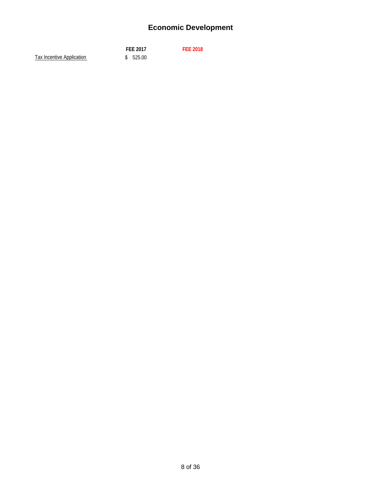# **Economic Development**

|                           | <b>FEE 2017</b> | <b>FEE 2018</b> |
|---------------------------|-----------------|-----------------|
| Tax Incentive Application | \$525.00        |                 |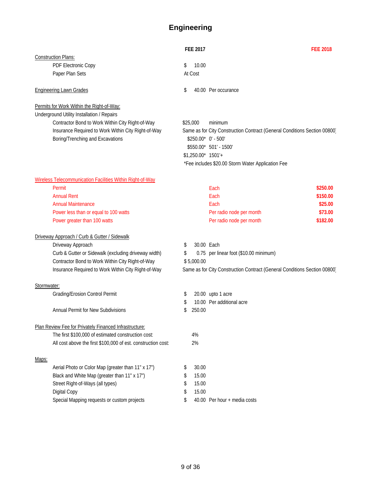# **Engineering**

|             |                                                               | <b>FEE 2017</b>        | <b>FEE 2018</b>                                                           |
|-------------|---------------------------------------------------------------|------------------------|---------------------------------------------------------------------------|
|             | <b>Construction Plans:</b>                                    |                        |                                                                           |
|             | PDF Electronic Copy<br>Paper Plan Sets                        | \$<br>10.00<br>At Cost |                                                                           |
|             |                                                               |                        |                                                                           |
|             | <b>Engineering Lawn Grades</b>                                | \$                     | 40.00 Per occurance                                                       |
|             | <b>Permits for Work Within the Right-of-Way:</b>              |                        |                                                                           |
|             | Underground Utility Installation / Repairs                    |                        |                                                                           |
|             | Contractor Bond to Work Within City Right-of-Way              | \$25,000               | minimum                                                                   |
|             | Insurance Required to Work Within City Right-of-Way           |                        | Same as for City Construction Contract (General Conditions Section 00800) |
|             | Boring/Trenching and Excavations                              |                        | \$250.00* 0' - 500'                                                       |
|             |                                                               |                        | \$550.00* 501' - 1500'                                                    |
|             |                                                               | $$1,250.00^*$ 1501'+   |                                                                           |
|             |                                                               |                        | *Fee includes \$20.00 Storm Water Application Fee                         |
|             | Wireless Telecommunication Facilities Within Right-of-Way     |                        |                                                                           |
|             | Permit                                                        |                        | \$250.00<br>Each                                                          |
|             | <b>Annual Rent</b>                                            |                        | Each<br>\$150.00                                                          |
|             | <b>Annual Maintenance</b>                                     |                        | \$25.00<br>Each                                                           |
|             | Power less than or equal to 100 watts                         |                        | Per radio node per month<br>\$73.00                                       |
|             | Power greater than 100 watts                                  |                        | Per radio node per month<br>\$182.00                                      |
|             |                                                               |                        |                                                                           |
|             | Driveway Approach / Curb & Gutter / Sidewalk                  |                        |                                                                           |
|             | Driveway Approach                                             | \$<br>30.00 Each       |                                                                           |
|             | Curb & Gutter or Sidewalk (excluding driveway width)          | \$                     | 0.75 per linear foot (\$10.00 minimum)                                    |
|             | Contractor Bond to Work Within City Right-of-Way              | \$5,000.00             |                                                                           |
|             | Insurance Required to Work Within City Right-of-Way           |                        | Same as for City Construction Contract (General Conditions Section 00800) |
| Stormwater: |                                                               |                        |                                                                           |
|             | Grading/Erosion Control Permit                                | \$                     | 20.00 upto 1 acre                                                         |
|             |                                                               | \$                     | 10.00 Per additional acre                                                 |
|             | <b>Annual Permit for New Subdivisions</b>                     | \$<br>250.00           |                                                                           |
|             |                                                               |                        |                                                                           |
|             | Plan Review Fee for Privately Financed Infrastructure:        |                        |                                                                           |
|             | The first \$100,000 of estimated construction cost:           | 4%                     |                                                                           |
|             | All cost above the first \$100,000 of est. construction cost: | 2%                     |                                                                           |
| Maps:       |                                                               |                        |                                                                           |
|             | Aerial Photo or Color Map (greater than 11" x 17")            | \$<br>30.00            |                                                                           |
|             | Black and White Map (greater than 11" x 17")                  | \$<br>15.00            |                                                                           |
|             | Street Right-of-Ways (all types)                              | \$<br>15.00            |                                                                           |
|             | Digital Copy                                                  | \$<br>15.00            |                                                                           |
|             | Special Mapping requests or custom projects                   | \$                     | 40.00 Per hour + media costs                                              |
|             |                                                               |                        |                                                                           |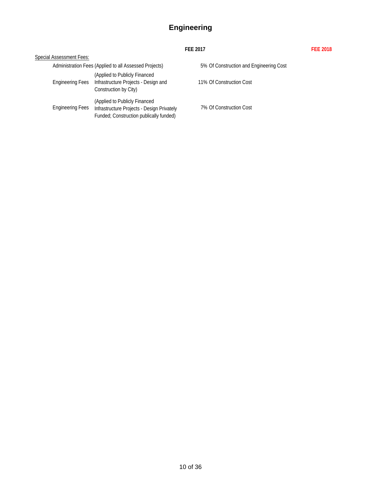# **Engineering**

#### **FEE 2017 FEE 2018**

|                          |                                                                                                                        | 1 LL 2017                               |
|--------------------------|------------------------------------------------------------------------------------------------------------------------|-----------------------------------------|
| Special Assessment Fees: |                                                                                                                        |                                         |
|                          | Administration Fees (Applied to all Assessed Projects)                                                                 | 5% Of Construction and Engineering Cost |
| <b>Engineering Fees</b>  | (Applied to Publicly Financed<br>Infrastructure Projects - Design and<br>Construction by City)                         | 11% Of Construction Cost                |
| <b>Engineering Fees</b>  | (Applied to Publicly Financed<br>Infrastructure Projects - Design Privately<br>Funded; Construction publically funded) | 7% Of Construction Cost                 |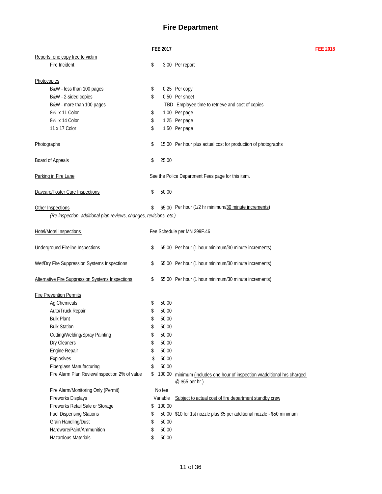#### **Fire Department**

**FEE 2017 FEE 2018**

|                                                                    | <b>FEE 2017</b> |                                                                                      |
|--------------------------------------------------------------------|-----------------|--------------------------------------------------------------------------------------|
| Reports: one copy free to victim                                   |                 |                                                                                      |
| Fire Incident                                                      | \$              | 3.00 Per report                                                                      |
|                                                                    |                 |                                                                                      |
| Photocopies                                                        |                 |                                                                                      |
| B&W - less than 100 pages                                          | \$              | 0.25 Per copy                                                                        |
| B&W - 2-sided copies                                               | \$              | 0.50 Per sheet                                                                       |
| B&W - more than 100 pages                                          |                 | TBD Employee time to retrieve and cost of copies                                     |
| 81/ <sub>2</sub> x 11 Color                                        | \$              | 1.00 Per page                                                                        |
| 8 <sup>1</sup> / <sub>2</sub> x 14 Color                           | \$              | 1.25 Per page                                                                        |
| 11 x 17 Color                                                      | \$              | 1.50 Per page                                                                        |
| Photographs                                                        | \$              | 15.00 Per hour plus actual cost for production of photographs                        |
| <b>Board of Appeals</b>                                            | \$<br>25.00     |                                                                                      |
| Parking in Fire Lane                                               |                 | See the Police Department Fees page for this item.                                   |
| Daycare/Foster Care Inspections                                    | \$<br>50.00     |                                                                                      |
| Other Inspections                                                  | \$              | 65.00 Per hour (1/2 hr minimum/30 minute increments)                                 |
| (Re-inspection, additional plan reviews, changes, revisions, etc.) |                 |                                                                                      |
| <b>Hotel/Motel Inspections</b>                                     |                 | Fee Schedule per MN 299F.46                                                          |
| <b>Underground Fireline Inspections</b>                            | \$              | 65.00 Per hour (1 hour minimum/30 minute increments)                                 |
| Wet/Dry Fire Suppression Systems Inspections                       | \$              | 65.00 Per hour (1 hour minimum/30 minute increments)                                 |
| <b>Alternative Fire Suppression Systems Inspections</b>            | \$              | 65.00 Per hour (1 hour minimum/30 minute increments)                                 |
| <b>Fire Prevention Permits</b>                                     |                 |                                                                                      |
| Ag Chemicals                                                       | \$<br>50.00     |                                                                                      |
| Auto/Truck Repair                                                  | \$<br>50.00     |                                                                                      |
| <b>Bulk Plant</b>                                                  | \$<br>50.00     |                                                                                      |
| <b>Bulk Station</b>                                                | \$<br>50.00     |                                                                                      |
| Cutting/Welding/Spray Painting                                     | \$<br>50.00     |                                                                                      |
| Dry Cleaners                                                       | \$<br>50.00     |                                                                                      |
| Engine Repair                                                      | \$<br>50.00     |                                                                                      |
| Explosives                                                         | \$<br>50.00     |                                                                                      |
| Fiberglass Manufacturing                                           | \$<br>50.00     |                                                                                      |
| Fire Alarm Plan Review/Inspection 2% of value                      | \$<br>100.00    | minimum (includes one hour of inspection w/additional hrs charged<br>@ \$65 per hr.) |
| Fire Alarm/Monitoring Only (Permit)                                | No fee          |                                                                                      |
| Fireworks Displays                                                 | Variable        | Subject to actual cost of fire department standby crew                               |
| Fireworks Retail Sale or Storage                                   | \$<br>100.00    |                                                                                      |
| <b>Fuel Dispensing Stations</b>                                    | \$              | 50.00 \$10 for 1st nozzle plus \$5 per additional nozzle - \$50 minimum              |
| Grain Handling/Dust                                                | \$<br>50.00     |                                                                                      |
| Hardware/Paint/Ammunition                                          | \$<br>50.00     |                                                                                      |
| Hazardous Materials                                                | \$<br>50.00     |                                                                                      |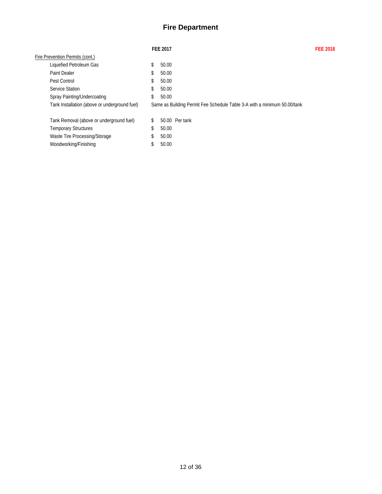#### **Fire Department**

|                                               | <b>FEE 2017</b>                                                          | <b>FFF 2018</b> |
|-----------------------------------------------|--------------------------------------------------------------------------|-----------------|
| Fire Prevention Permits (cont.)               |                                                                          |                 |
| Liquefied Petroleum Gas                       | \$<br>50.00                                                              |                 |
| <b>Paint Dealer</b>                           | \$<br>50.00                                                              |                 |
| Pest Control                                  | \$<br>50.00                                                              |                 |
| Service Station                               | \$<br>50.00                                                              |                 |
| Spray Painting/Undercoating                   | \$<br>50.00                                                              |                 |
| Tank Installation (above or underground fuel) | Same as Building Permit Fee Schedule Table 3-A with a minimum 50.00/tank |                 |
| Tank Removal (above or underground fuel)      | \$<br>50.00 Per tank                                                     |                 |
| <b>Temporary Structures</b>                   | \$<br>50.00                                                              |                 |
| Waste Tire Processing/Storage                 | \$<br>50.00                                                              |                 |
| Woodworking/Finishing                         | \$<br>50.00                                                              |                 |
|                                               |                                                                          |                 |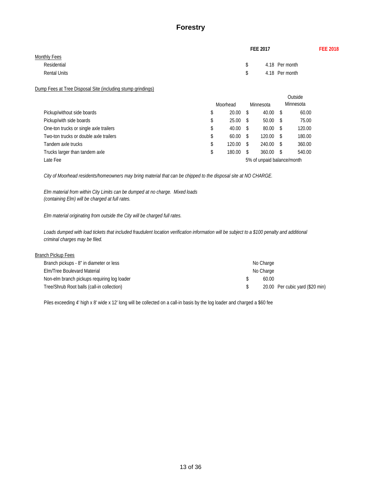#### **Forestry**

|                                                             | FEE 2017             |  |  |  |  |
|-------------------------------------------------------------|----------------------|--|--|--|--|
| Monthly Fees                                                |                      |  |  |  |  |
| Residential                                                 | \$<br>4.18 Per month |  |  |  |  |
| <b>Rental Units</b>                                         | \$<br>4.18 Per month |  |  |  |  |
| Dump Fees at Tree Disposal Site (including stump grindings) |                      |  |  |  |  |
|                                                             | Outside              |  |  |  |  |

|                                        | Moorhead     |                            | Minnesota | Minnesota    |        |
|----------------------------------------|--------------|----------------------------|-----------|--------------|--------|
| Pickup/without side boards             | 20.00        |                            | 40.00     | - \$         | 60.00  |
| Pickup/with side boards                | 25.00        | - S                        | 50.00     | <sup>S</sup> | 75.00  |
| One-ton trucks or single axle trailers | 40.00        | - S                        | 80.00     | - \$         | 120.00 |
| Two-ton trucks or double axle trailers | 60.00        |                            | 120.00    | - \$         | 180.00 |
| Tandem axle trucks                     | 120.00       |                            | 240.00    | - S          | 360.00 |
| Trucks larger than tandem axle         | \$<br>180.00 | - \$                       | 360.00    | - S          | 540.00 |
| Late Fee                               |              | 5% of unpaid balance/month |           |              |        |

*City of Moorhead residents/homeowners may bring material that can be chipped to the disposal site at NO CHARGE.*

*Elm material from within City Limits can be dumped at no charge. Mixed loads (containing Elm) will be charged at full rates.*

*Elm material originating from outside the City will be charged full rates.*

*Loads dumped with load tickets that included fraudulent location verification information will be subject to a \$100 penalty and additional criminal charges may be filed.*

| <b>Branch Pickup Fees</b> |
|---------------------------|
|---------------------------|

| Branch pickups - 8" in diameter or less     | No Charge |                                 |
|---------------------------------------------|-----------|---------------------------------|
| Elm/Tree Boulevard Material                 | No Charge |                                 |
| Non-elm branch pickups requiring log loader | 60.00     |                                 |
| Tree/Shrub Root balls (call-in collection)  |           | 20.00 Per cubic yard (\$20 min) |

Piles exceeding 4' high x 8' wide x 12' long will be collected on a call-in basis by the log loader and charged a \$60 fee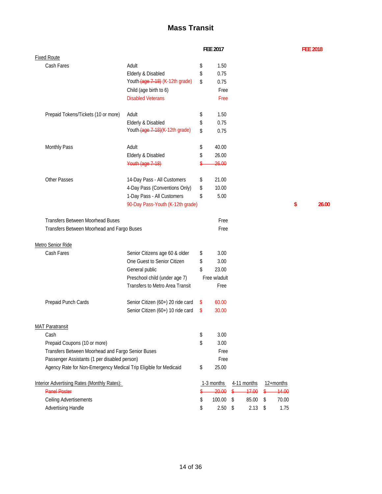# **Mass Transit**

|                                                                  | FEE 2017                          |    |              | <b>FEE 2018</b> |             |             |    |    |
|------------------------------------------------------------------|-----------------------------------|----|--------------|-----------------|-------------|-------------|----|----|
| <b>Fixed Route</b>                                               |                                   |    |              |                 |             |             |    |    |
| Cash Fares                                                       | Adult                             | \$ | 1.50         |                 |             |             |    |    |
|                                                                  | Elderly & Disabled                | \$ | 0.75         |                 |             |             |    |    |
|                                                                  | Youth (age 7-18) (K-12th grade)   | \$ | 0.75         |                 |             |             |    |    |
|                                                                  | Child (age birth to 6)            |    | Free         |                 |             |             |    |    |
|                                                                  | <b>Disabled Veterans</b>          |    | Free         |                 |             |             |    |    |
| Prepaid Tokens/Tickets (10 or more)                              | Adult                             | \$ | 1.50         |                 |             |             |    |    |
|                                                                  | Elderly & Disabled                | \$ | 0.75         |                 |             |             |    |    |
|                                                                  | Youth (age 7-18) (K-12th grade)   | \$ | 0.75         |                 |             |             |    |    |
| Monthly Pass                                                     | Adult                             | \$ | 40.00        |                 |             |             |    |    |
|                                                                  | Elderly & Disabled                | \$ | 26.00        |                 |             |             |    |    |
|                                                                  | Youth (age 7-18)                  |    | 26.00        |                 |             |             |    |    |
| <b>Other Passes</b>                                              | 14-Day Pass - All Customers       | \$ | 21.00        |                 |             |             |    |    |
|                                                                  | 4-Day Pass (Conventions Only)     | \$ | 10.00        |                 |             |             |    |    |
|                                                                  | 1-Day Pass - All Customers        | \$ | 5.00         |                 |             |             |    |    |
|                                                                  | 90-Day Pass-Youth (K-12th grade)  |    |              |                 |             |             | \$ | 26 |
| <b>Transfers Between Moorhead Buses</b>                          |                                   |    | Free         |                 |             |             |    |    |
| Transfers Between Moorhead and Fargo Buses                       |                                   |    | Free         |                 |             |             |    |    |
| Metro Senior Ride                                                |                                   |    |              |                 |             |             |    |    |
| Cash Fares                                                       | Senior Citizens age 60 & older    | \$ | 3.00         |                 |             |             |    |    |
|                                                                  | One Guest to Senior Citizen       | \$ | 3.00         |                 |             |             |    |    |
|                                                                  | General public                    | \$ | 23.00        |                 |             |             |    |    |
|                                                                  | Preschool child (under age 7)     |    | Free w/adult |                 |             |             |    |    |
|                                                                  | Transfers to Metro Area Transit   |    | Free         |                 |             |             |    |    |
| Prepaid Punch Cards                                              | Senior Citizen (60+) 20 ride card | \$ | 60.00        |                 |             |             |    |    |
|                                                                  | Senior Citizen (60+) 10 ride card | \$ | 30.00        |                 |             |             |    |    |
| <b>MAT Paratransit</b>                                           |                                   |    |              |                 |             |             |    |    |
| Cash                                                             |                                   | \$ | 3.00         |                 |             |             |    |    |
| Prepaid Coupons (10 or more)                                     |                                   | \$ | 3.00         |                 |             |             |    |    |
| Transfers Between Moorhead and Fargo Senior Buses                |                                   |    | Free         |                 |             |             |    |    |
| Passenger Assistants (1 per disabled person)                     |                                   |    | Free         |                 |             |             |    |    |
| Agency Rate for Non-Emergency Medical Trip Eligible for Medicaid |                                   | \$ | 25.00        |                 |             |             |    |    |
| Interior Advertising Rates (Monthly Rates):                      |                                   |    | 1-3 months   |                 | 4-11 months | 12+months   |    |    |
| <b>Panel Poster</b>                                              |                                   |    | 20.00        | $\frac{1}{2}$   | 17.00       | \$<br>14.00 |    |    |
| Ceiling Advertisements                                           |                                   | \$ | 100.00       | \$              | 85.00       | \$<br>70.00 |    |    |
| Advertising Handle                                               |                                   | \$ | 2.50         | \$              | 2.13        | \$<br>1.75  |    |    |

90-Day Pass-Youth (K-12th grade) **\$ 26.00**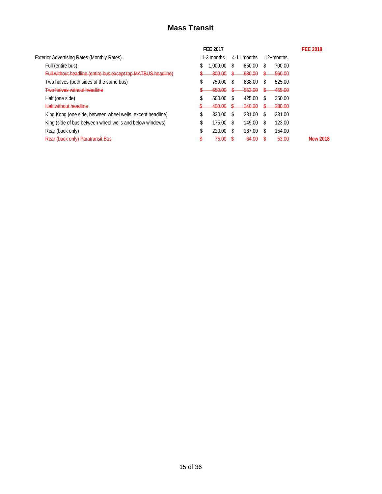## **Mass Transit**

|                                                               |    | <b>FEE 2017</b> |    |             |     |              | <b>FEE 2018</b> |
|---------------------------------------------------------------|----|-----------------|----|-------------|-----|--------------|-----------------|
| Exterior Advertising Rates (Monthly Rates)                    |    | 1-3 months      |    | 4-11 months |     | $12+$ months |                 |
| Full (entire bus)                                             | S  | .000.00         | S  | 850.00      | S   | 700.00       |                 |
| Full without headline (entire bus except top MATBUS headline) |    | -800.00         |    | 680.00      |     | 560.00       |                 |
| Two halves (both sides of the same bus)                       | Œ  | 750.00          | \$ | 638.00      | S   | 525.00       |                 |
| Two halves without headline                                   |    | 650.00          |    | 553.00      |     | 455.00       |                 |
| Half (one side)                                               | \$ | 500.00          | S  | 425.00      | S   | 350.00       |                 |
| <b>Half without headline</b>                                  |    | 400.00          |    | 340.00      |     | 280.00       |                 |
| King Kong (one side, between wheel wells, except headline)    | \$ | 330.00          | \$ | 281.00      | S   | 231.00       |                 |
| King (side of bus between wheel wells and below windows)      | \$ | 175.00          | S  | 149.00      | S   | 123.00       |                 |
| Rear (back only)                                              | \$ | 220.00          | \$ | 187.00      | \$. | 154.00       |                 |
| Rear (back only) Paratransit Bus                              |    | 75.00           |    | 64.00       |     | 53.00        | <b>New 2018</b> |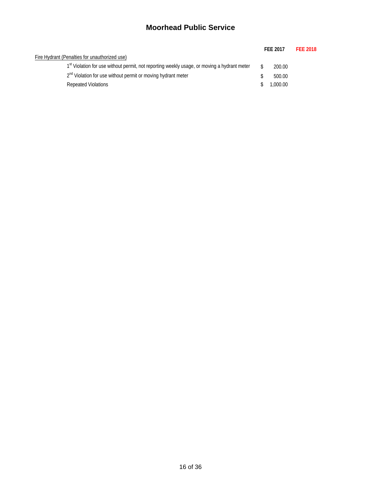## **Moorhead Public Service**

|                                                                                                         | <b>FFF 2017</b> | <b>FEE 2018</b> |
|---------------------------------------------------------------------------------------------------------|-----------------|-----------------|
| Fire Hydrant (Penalties for unauthorized use)                                                           |                 |                 |
| 1 <sup>st</sup> Violation for use without permit, not reporting weekly usage, or moving a hydrant meter | 200.00          |                 |
| 2 <sup>nd</sup> Violation for use without permit or moving hydrant meter                                | 500.00          |                 |
| <b>Repeated Violations</b>                                                                              | 1.000.00        |                 |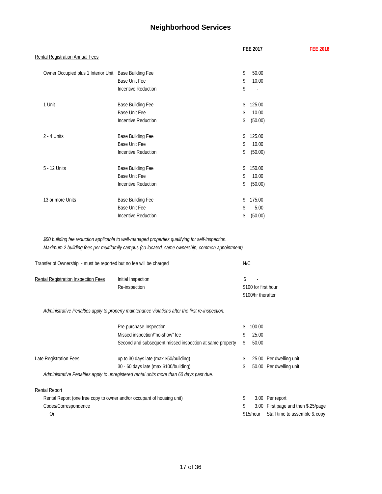## **Neighborhood Services**

|                                                                     |                                                                                                                                                                                                      | <b>FEE 2017</b>                            | <b>FEE 2018</b>                     |
|---------------------------------------------------------------------|------------------------------------------------------------------------------------------------------------------------------------------------------------------------------------------------------|--------------------------------------------|-------------------------------------|
| <b>Rental Registration Annual Fees</b>                              |                                                                                                                                                                                                      |                                            |                                     |
| Owner Occupied plus 1 Interior Unit Base Building Fee               |                                                                                                                                                                                                      | \$<br>50.00                                |                                     |
|                                                                     | Base Unit Fee                                                                                                                                                                                        | \$<br>10.00                                |                                     |
|                                                                     | <b>Incentive Reduction</b>                                                                                                                                                                           | \$                                         |                                     |
| 1 Unit                                                              | Base Building Fee                                                                                                                                                                                    | 125.00<br>\$                               |                                     |
|                                                                     | Base Unit Fee                                                                                                                                                                                        | 10.00<br>\$                                |                                     |
|                                                                     | <b>Incentive Reduction</b>                                                                                                                                                                           | \$<br>(50.00)                              |                                     |
| $2 - 4$ Units                                                       | Base Building Fee                                                                                                                                                                                    | 125.00<br>\$                               |                                     |
|                                                                     | Base Unit Fee                                                                                                                                                                                        | 10.00<br>\$                                |                                     |
|                                                                     | <b>Incentive Reduction</b>                                                                                                                                                                           | \$<br>(50.00)                              |                                     |
| 5 - 12 Units                                                        | Base Building Fee                                                                                                                                                                                    | 150.00<br>\$                               |                                     |
|                                                                     | <b>Base Unit Fee</b>                                                                                                                                                                                 | 10.00<br>\$                                |                                     |
|                                                                     | <b>Incentive Reduction</b>                                                                                                                                                                           | (50.00)<br>\$                              |                                     |
| 13 or more Units                                                    | Base Building Fee                                                                                                                                                                                    | 175.00<br>\$                               |                                     |
|                                                                     | <b>Base Unit Fee</b>                                                                                                                                                                                 | 5.00<br>\$                                 |                                     |
|                                                                     | <b>Incentive Reduction</b>                                                                                                                                                                           | \$<br>(50.00)                              |                                     |
| Transfer of Ownership - must be reported but no fee will be charged | \$50 building fee reduction applicable to well-managed properties qualifying for self-inspection.<br>Maximum 2 building fees per multifamily campus (co-located, same ownership, common appointment) | N/C                                        |                                     |
|                                                                     |                                                                                                                                                                                                      |                                            |                                     |
| Rental Registration Inspection Fees                                 | Initial Inspection                                                                                                                                                                                   | \$                                         |                                     |
|                                                                     | Re-inspection                                                                                                                                                                                        | \$100 for first hour<br>\$100/hr therafter |                                     |
|                                                                     | Administrative Penalties apply to property maintenance violations after the first re-inspection.                                                                                                     |                                            |                                     |
|                                                                     | Pre-purchase Inspection                                                                                                                                                                              | 100.00<br>\$                               |                                     |
|                                                                     | Missed inspection/"no-show" fee                                                                                                                                                                      | 25.00<br>\$                                |                                     |
|                                                                     | Second and subsequent missed inspection at same property                                                                                                                                             | \$<br>50.00                                |                                     |
| Late Registration Fees                                              | up to 30 days late (max \$50/building)                                                                                                                                                               | \$                                         | 25.00 Per dwelling unit             |
|                                                                     | 30 - 60 days late (max \$100/building)                                                                                                                                                               | \$                                         | 50.00 Per dwelling unit             |
|                                                                     | Administrative Penalties apply to unregistered rental units more than 60 days past due.                                                                                                              |                                            |                                     |
| Rental Report                                                       |                                                                                                                                                                                                      |                                            |                                     |
|                                                                     | Rental Report (one free copy to owner and/or occupant of housing unit)                                                                                                                               | \$                                         | 3.00 Per report                     |
| Codes/Correspondence                                                |                                                                                                                                                                                                      | \$                                         | 3.00 First page and then \$.25/page |
| Or                                                                  |                                                                                                                                                                                                      | \$15/hour                                  | Staff time to assemble & copy       |
|                                                                     |                                                                                                                                                                                                      |                                            |                                     |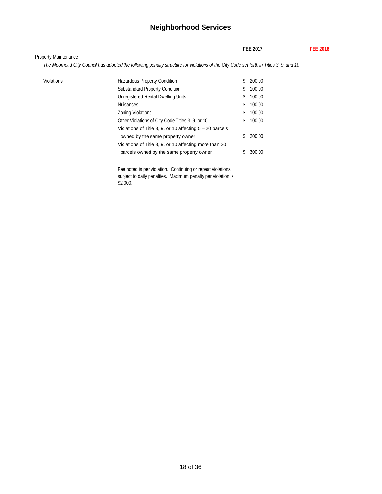#### **Neighborhood Services**

**FEE 2017 FEE 2018**

*The Moorhead City Council has adopted the following penalty structure for violations of the City Code set forth in Titles 3, 9, and 10*

| Violations | <b>Hazardous Property Condition</b>                        |     | 200.00 |
|------------|------------------------------------------------------------|-----|--------|
|            | <b>Substandard Property Condition</b>                      | S   | 100.00 |
|            | Unregistered Rental Dwelling Units                         | \$  | 100.00 |
|            | <b>Nuisances</b>                                           | S.  | 100.00 |
|            | <b>Zoning Violations</b>                                   | \$  | 100.00 |
|            | Other Violations of City Code Titles 3, 9, or 10           | \$. | 100.00 |
|            | Violations of Title 3, 9, or 10 affecting $5 - 20$ parcels |     |        |
|            | owned by the same property owner                           |     | 200.00 |
|            | Violations of Title 3, 9, or 10 affecting more than 20     |     |        |
|            | parcels owned by the same property owner                   |     | 300.00 |
|            |                                                            |     |        |

Fee noted is per violation. Continuing or repeat violations subject to daily penalties. Maximum penalty per violation is \$2,000.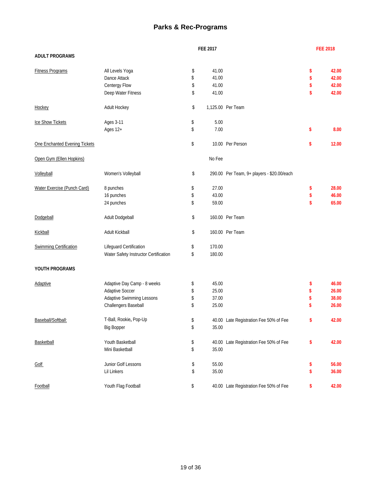#### **Parks & Rec-Programs**

|                               |                                       | <b>FEE 2017</b> |                                            | <b>FEE 2018</b> |
|-------------------------------|---------------------------------------|-----------------|--------------------------------------------|-----------------|
| <b>ADULT PROGRAMS</b>         |                                       |                 |                                            |                 |
| <b>Fitness Programs</b>       | All Levels Yoga                       | \$<br>41.00     |                                            | \$<br>42.00     |
|                               | Dance Attack                          | \$<br>41.00     |                                            | \$<br>42.00     |
|                               | Centergy Flow                         | \$<br>41.00     |                                            | \$<br>42.00     |
|                               | Deep Water Fitness                    | \$<br>41.00     |                                            | \$<br>42.00     |
| Hockey                        | Adult Hockey                          | \$              | 1,125.00 Per Team                          |                 |
| Ice Show Tickets              | Ages 3-11                             | \$<br>5.00      |                                            |                 |
|                               | Ages 12+                              | \$<br>7.00      |                                            | \$<br>8.00      |
| One Enchanted Evening Tickets |                                       | \$              | 10.00 Per Person                           | \$<br>12.00     |
| Open Gym (Ellen Hopkins)      |                                       | No Fee          |                                            |                 |
| Volleyball                    | Women's Volleyball                    | \$              | 290.00 Per Team, 9+ players - \$20.00/each |                 |
| Water Exercise (Punch Card)   | 8 punches                             | \$<br>27.00     |                                            | \$<br>28.00     |
|                               | 16 punches                            | \$<br>43.00     |                                            | \$<br>46.00     |
|                               | 24 punches                            | \$<br>59.00     |                                            | \$<br>65.00     |
| Dodgeball                     | Adult Dodgeball                       | \$              | 160.00 Per Team                            |                 |
| Kickball                      | Adult Kickball                        | \$              | 160.00 Per Team                            |                 |
| <b>Swimming Certification</b> | Lifeguard Certification               | \$<br>170.00    |                                            |                 |
|                               | Water Safety Instructor Certification | \$<br>180.00    |                                            |                 |
| YOUTH PROGRAMS                |                                       |                 |                                            |                 |
| Adaptive                      | Adaptive Day Camp - 8 weeks           | \$<br>45.00     |                                            | \$<br>46.00     |
|                               | <b>Adaptive Soccer</b>                | \$<br>25.00     |                                            | \$<br>26.00     |
|                               | Adaptive Swimming Lessons             | \$<br>37.00     |                                            | \$<br>38.00     |
|                               | Challengers Baseball                  | \$<br>25.00     |                                            | \$<br>26.00     |
| Baseball/Softball:            | T-Ball, Rookie, Pop-Up                | \$              | 40.00 Late Registration Fee 50% of Fee     | \$<br>42.00     |
|                               | <b>Big Bopper</b>                     | \$<br>35.00     |                                            |                 |
| Basketball                    | Youth Basketball                      | \$              | 40.00 Late Registration Fee 50% of Fee     | \$<br>42.00     |
|                               | Mini Basketball                       | \$<br>35.00     |                                            |                 |
| <b>Golf</b>                   | Junior Golf Lessons                   | \$<br>55.00     |                                            | \$<br>56.00     |
|                               | Lil Linkers                           | \$<br>35.00     |                                            | \$<br>36.00     |
| Football                      | Youth Flag Football                   | \$              | 40.00 Late Registration Fee 50% of Fee     | \$<br>42.00     |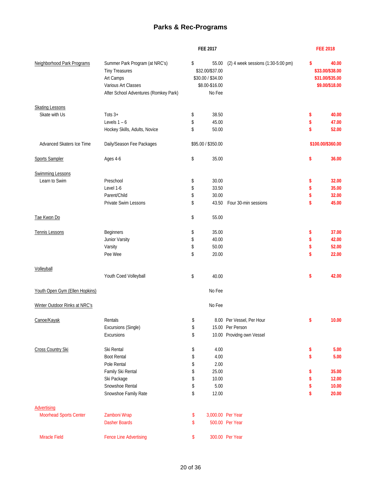#### **Parks & Rec-Programs**

|                                | <b>FEE 2017</b>                                                                                                                      |    |                                                                           |                                    |    | <b>FEE 2018</b>                                               |
|--------------------------------|--------------------------------------------------------------------------------------------------------------------------------------|----|---------------------------------------------------------------------------|------------------------------------|----|---------------------------------------------------------------|
| Neighborhood Park Programs     | Summer Park Program (at NRC's)<br><b>Tiny Treasures</b><br>Art Camps<br>Various Art Classes<br>After School Adventures (Romkey Park) | \$ | 55.00<br>\$32.00/\$37.00<br>\$30.00 / \$34.00<br>\$8.00-\$16.00<br>No Fee | (2) 4 week sessions (1:30-5:00 pm) | \$ | 40.00<br>\$33.00/\$38.00<br>\$31.00/\$35.00<br>\$9.00/\$18.00 |
| <b>Skating Lessons</b>         |                                                                                                                                      |    |                                                                           |                                    |    |                                                               |
| Skate with Us                  | Tots $3+$                                                                                                                            | \$ | 38.50                                                                     |                                    | \$ | 40.00                                                         |
|                                | Levels $1 - 6$                                                                                                                       | \$ | 45.00                                                                     |                                    | \$ | 47.00                                                         |
|                                | Hockey Skills, Adults, Novice                                                                                                        | \$ | 50.00                                                                     |                                    | \$ | 52.00                                                         |
| Advanced Skaters Ice Time      | Daily/Season Fee Packages                                                                                                            |    | \$95.00 / \$350.00                                                        |                                    |    | \$100.00/\$360.00                                             |
| <b>Sports Sampler</b>          | Ages 4-6                                                                                                                             | \$ | 35.00                                                                     |                                    | \$ | 36.00                                                         |
| <b>Swimming Lessons</b>        |                                                                                                                                      |    |                                                                           |                                    |    |                                                               |
| Learn to Swim                  | Preschool                                                                                                                            | \$ | 30.00                                                                     |                                    | \$ | 32.00                                                         |
|                                | Level 1-6                                                                                                                            | \$ | 33.50                                                                     |                                    | \$ | 35.00                                                         |
|                                | Parent/Child                                                                                                                         | \$ | 30.00                                                                     |                                    | \$ | 32.00                                                         |
|                                | Private Swim Lessons                                                                                                                 | \$ | 43.50                                                                     | Four 30-min sessions               | \$ | 45.00                                                         |
| Tae Kwon Do                    |                                                                                                                                      | \$ | 55.00                                                                     |                                    |    |                                                               |
| Tennis Lessons                 | Beginners                                                                                                                            | \$ | 35.00                                                                     |                                    | \$ | 37.00                                                         |
|                                | Junior Varsity                                                                                                                       | \$ | 40.00                                                                     |                                    | \$ | 42.00                                                         |
|                                | Varsity                                                                                                                              | \$ | 50.00                                                                     |                                    | \$ | 52.00                                                         |
|                                | Pee Wee                                                                                                                              | \$ | 20.00                                                                     |                                    | \$ | 22.00                                                         |
| Volleyball                     |                                                                                                                                      |    |                                                                           |                                    |    |                                                               |
|                                | Youth Coed Volleyball                                                                                                                | \$ | 40.00                                                                     |                                    | \$ | 42.00                                                         |
| Youth Open Gym (Ellen Hopkins) |                                                                                                                                      |    | No Fee                                                                    |                                    |    |                                                               |
| Winter Outdoor Rinks at NRC's  |                                                                                                                                      |    | No Fee                                                                    |                                    |    |                                                               |
| Canoe/Kayak                    | Rentals                                                                                                                              | \$ |                                                                           | 8.00 Per Vessel, Per Hour          | \$ | 10.00                                                         |
|                                | Excursions (Single)                                                                                                                  | \$ |                                                                           | 15.00 Per Person                   |    |                                                               |
|                                | Excursions                                                                                                                           | \$ |                                                                           | 10.00 Providng own Vessel          |    |                                                               |
| Cross Country Ski              | Ski Rental                                                                                                                           | \$ | 4.00                                                                      |                                    | \$ | 5.00                                                          |
|                                | <b>Boot Rental</b>                                                                                                                   | \$ | 4.00                                                                      |                                    | \$ | 5.00                                                          |
|                                | Pole Rental                                                                                                                          | \$ | 2.00                                                                      |                                    |    |                                                               |
|                                | Family Ski Rental                                                                                                                    | \$ | 25.00                                                                     |                                    | \$ | 35.00                                                         |
|                                | Ski Package                                                                                                                          | \$ | 10.00                                                                     |                                    | \$ | 12.00                                                         |
|                                | Snowshoe Rental                                                                                                                      | \$ | 5.00                                                                      |                                    | \$ | 10.00                                                         |
|                                | Snowshoe Family Rate                                                                                                                 | \$ | 12.00                                                                     |                                    | \$ | 20.00                                                         |
| <b>Advertising</b>             |                                                                                                                                      |    |                                                                           |                                    |    |                                                               |
| <b>Moorhead Sports Center</b>  | Zamboni Wrap                                                                                                                         | \$ | 3,000.00 Per Year                                                         |                                    |    |                                                               |
|                                | <b>Dasher Boards</b>                                                                                                                 | \$ |                                                                           | 500.00 Per Year                    |    |                                                               |
| Miracle Field                  | <b>Fence Line Advertising</b>                                                                                                        | \$ |                                                                           | 300.00 Per Year                    |    |                                                               |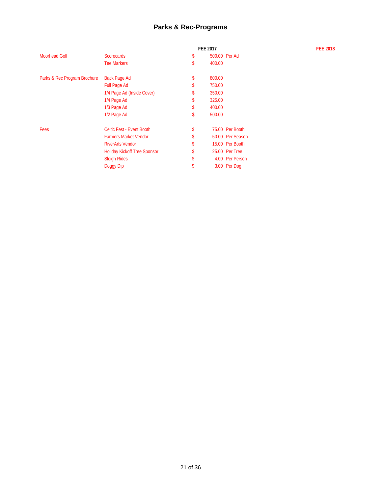#### **Parks & Rec-Programs**

|                                     | <b>FEE 2017</b> |                  |
|-------------------------------------|-----------------|------------------|
| <b>Scorecards</b>                   | \$              | 500.00 Per Ad    |
| <b>Tee Markers</b>                  | \$<br>400.00    |                  |
| Back Page Ad                        | \$<br>800.00    |                  |
| <b>Full Page Ad</b>                 | \$<br>750.00    |                  |
| 1/4 Page Ad (Inside Cover)          | \$<br>350.00    |                  |
| 1/4 Page Ad                         | \$<br>325.00    |                  |
| 1/3 Page Ad                         | \$<br>400.00    |                  |
| 1/2 Page Ad                         | \$<br>500.00    |                  |
| Celtic Fest - Event Booth           | \$              | 75.00 Per Booth  |
| <b>Farmers Market Vendor</b>        | \$              | 50.00 Per Season |
| <b>RiverArts Vendor</b>             | \$              | 15.00 Per Booth  |
| <b>Holiday Kickoff Tree Sponsor</b> | \$              | 25.00 Per Tree   |
| <b>Sleigh Rides</b>                 | \$              | 4.00 Per Person  |
| Doggy Dip                           | \$              | 3.00 Per Dog     |
|                                     |                 |                  |

#### **FEE 2017 FEE 2018**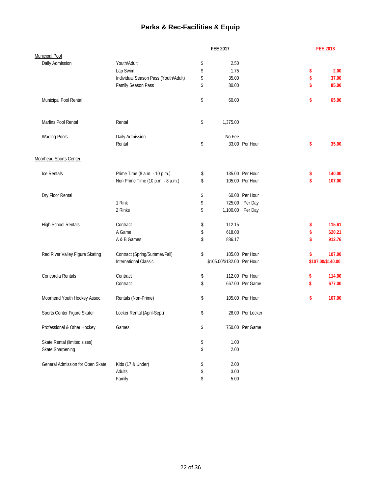## **Parks & Rec-Facilities & Equip**

|                                  |                                      | <b>FEE 2017</b>            |                  | <b>FEE 2018</b>   |
|----------------------------------|--------------------------------------|----------------------------|------------------|-------------------|
| <b>Municipal Pool</b>            |                                      |                            |                  |                   |
| Daily Admission                  | Youth/Adult                          | \$<br>2.50                 |                  |                   |
|                                  | Lap Swim                             | \$<br>1.75                 |                  | \$<br>2.00        |
|                                  | Individual Season Pass (Youth/Adult) | \$<br>35.00                |                  | \$<br>37.00       |
|                                  | Family Season Pass                   | \$<br>80.00                |                  | \$<br>85.00       |
| Municipal Pool Rental            |                                      | \$<br>60.00                |                  | \$<br>65.00       |
| Marlins Pool Rental              | Rental                               | \$<br>1,375.00             |                  |                   |
| <b>Wading Pools</b>              | Daily Admission                      | No Fee                     |                  |                   |
|                                  | Rental                               | \$                         | 33.00 Per Hour   | \$<br>35.00       |
| Moorhead Sports Center           |                                      |                            |                  |                   |
| Ice Rentals                      | Prime Time (8 a.m. - 10 p.m.)        | \$                         | 135.00 Per Hour  | \$<br>140.00      |
|                                  | Non Prime Time (10 p.m. - 8 a.m.)    | \$                         | 105.00 Per Hour  | \$<br>107.00      |
| Dry Floor Rental                 |                                      | \$                         | 60.00 Per Hour   |                   |
|                                  | 1 Rink                               | \$                         | 725.00 Per Day   |                   |
|                                  | 2 Rinks                              | \$<br>1,100.00 Per Day     |                  |                   |
| High School Rentals              | Contract                             | \$<br>112.15               |                  | \$<br>115.61      |
|                                  | A Game                               | \$<br>618.00               |                  | \$<br>620.21      |
|                                  | A & B Games                          | \$<br>886.17               |                  | \$<br>912.76      |
| Red River Valley Figure Skating  | Contract (Spring/Summer/Fall)        | \$                         | 105.00 Per Hour  | \$<br>107.00      |
|                                  | <b>International Classic</b>         | \$105.00/\$132.00 Per Hour |                  | \$107.00/\$140.00 |
| Concordia Rentals                | Contract                             | \$                         | 112.00 Per Hour  | \$<br>114.00      |
|                                  | Contract                             | \$                         | 667.00 Per Game  | \$<br>677.00      |
| Moorhead Youth Hockey Assoc.     | Rentals (Non-Prime)                  | \$                         | 105.00 Per Hour  | \$<br>107.00      |
| Sports Center Figure Skater      | Locker Rental (April-Sept)           | \$                         | 28.00 Per Locker |                   |
| Professional & Other Hockey      | Games                                | \$                         | 750.00 Per Game  |                   |
| Skate Rental (limited sizes)     |                                      | \$<br>1.00                 |                  |                   |
| Skate Sharpening                 |                                      | \$<br>2.00                 |                  |                   |
| General Admission for Open Skate | Kids (17 & Under)                    | \$<br>2.00                 |                  |                   |
|                                  | Adults                               | \$<br>3.00                 |                  |                   |
|                                  | Family                               | \$<br>$5.00\,$             |                  |                   |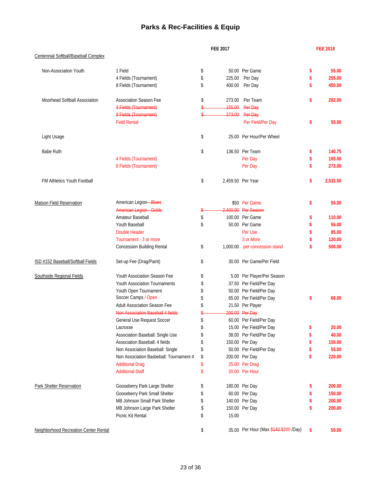## **Parks & Rec-Facilities & Equip**

|                                       | <b>FEE 2017</b>                         |    |        |                                       | <b>FEE 2018</b> |          |
|---------------------------------------|-----------------------------------------|----|--------|---------------------------------------|-----------------|----------|
| Centennial Softball/Baseball Complex  |                                         |    |        |                                       |                 |          |
| Non-Association Youth                 | 1 Field                                 | \$ |        | 50.00 Per Game                        | \$              | 55.00    |
|                                       | 4 Fields (Tournament)                   | \$ | 225.00 | Per Day                               | \$              | 255.00   |
|                                       | 8 Fields (Tournament)                   | \$ | 400.00 | Per Day                               | \$              | 450.00   |
| Moorhead Softball Association         | <b>Association Season Fee</b>           | \$ | 273.00 | Per Team                              | \$              | 282.00   |
|                                       | 4 Fields (Tournament)                   | \$ | 155.00 | Per Day                               |                 |          |
|                                       | 8 Fields (Tournament)                   | \$ | 273.00 | Per Day                               |                 |          |
|                                       | <b>Field Rental</b>                     |    |        | Per Field/Per Day                     | \$              | 55.00    |
| Light Usage                           |                                         | \$ |        | 25.00 Per Hour/Per Wheel              |                 |          |
| <b>Babe Ruth</b>                      |                                         | \$ |        | 136.50 Per Team                       | \$              | 140.75   |
|                                       | 4 Fields (Tournament)                   |    |        | Per Day                               | \$              | 155.00   |
|                                       | 8 Fields (Tournament)                   |    |        | Per Day                               | \$              | 273.00   |
| FM Athletics Youth Football           |                                         | \$ |        | 2,459.50 Per Year                     | \$              | 2.533.50 |
| <b>Matson Field Reservation</b>       | American Legion-Blues                   |    |        | \$50 Per Game                         | \$              | 55.00    |
|                                       | <b>American Legion Golds</b>            |    |        | 2.400.00 Per Season                   |                 |          |
|                                       | Amateur Baseball                        | \$ |        | 100.00 Per Game                       | \$              | 110.00   |
|                                       | Youth Baseball                          | \$ |        | 50.00 Per Game                        | \$              | 55.00    |
|                                       | <b>Double Header</b>                    |    |        | Per Use                               | \$              | 85.00    |
|                                       | Tournament - 3 or more                  |    |        | 3 or More                             | \$              | 120.00   |
|                                       | <b>Concession Building Rental</b>       | \$ |        | 1,000.00 per concession stand         | \$              | 500.00   |
| ISD #152 Baseball/Softball Fields     | Set-up Fee (Drag/Paint)                 | \$ |        | 30.00 Per Game/Per Field              |                 |          |
| Southside Regional Fields             | Youth Association Season Fee            | \$ |        | 5.00 Per Player/Per Season            |                 |          |
|                                       | <b>Youth Association Tournaments</b>    | \$ |        | 37.50 Per Field/Per Day               |                 |          |
|                                       | Youth Open Tournament                   | \$ |        | 50.00 Per Field/Per Day               |                 |          |
|                                       | Soccer Camps / Open                     | \$ |        | 65.00 Per Field/Per Day               | \$              | 66.00    |
|                                       | <b>Adult Association Season Fee</b>     | \$ |        | 21.50 Per Player                      |                 |          |
|                                       | Non Association Baseball 4 fields       | \$ |        | 200.00 Per Day                        |                 |          |
|                                       | General Use Request Soccer              | \$ |        | 60.00 Per Field/Per Day               |                 |          |
|                                       | Lacrosse                                | \$ |        | 15.00 Per Field/Per Day               | \$              | 20.00    |
|                                       | Association Baseball: Single Use        |    |        | 38.00 Per Field/Per Day               | \$              | 40.00    |
|                                       | Association Baseball: 4 fields          | \$ |        | 150.00 Per Day                        | \$              | 155.00   |
|                                       | Non Association Baseball: Single        | \$ |        | 50.00 Per Field/Per Day               | \$              | 55.00    |
|                                       | Non Association Basbeball: Tournament 4 | \$ |        | 200.00 Per Day                        | \$              | 220.00   |
|                                       | <b>Additional Drag</b>                  | \$ |        | 25.00 Per Drag                        |                 |          |
|                                       | <b>Additional Staff</b>                 | \$ |        | 20.00 Per Hour                        |                 |          |
| Park Shelter Reservation              | Gooseberry Park Large Shelter           | \$ |        | 180.00 Per Day                        | \$              | 200.00   |
|                                       | Gooseberry Park Small Shelter           | \$ |        | 60.00 Per Day                         | \$              | 150.00   |
|                                       | MB Johnson Small Park Shelter           | \$ |        | 140.00 Per Day                        | \$              | 200.00   |
|                                       | MB Johnson Large Park Shelter           | \$ |        | 150.00 Per Day                        | \$              | 200.00   |
|                                       | Picnic Kit Rental                       | \$ | 15.00  |                                       |                 |          |
| Neighborhood Recreation Center Rental |                                         | \$ |        | 35.00 Per Hour (Max \$440-\$200 /Day) | \$              | 50.00    |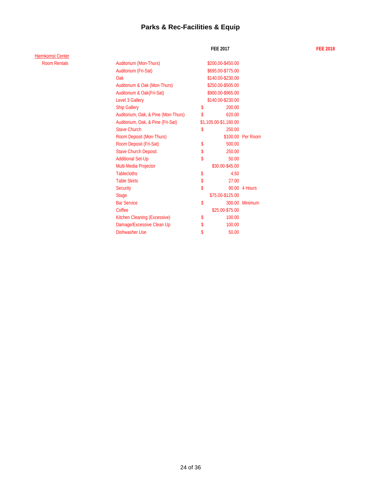## **Parks & Rec-Facilities & Equip**

Hjemkomst Center Room Rentals

| Auditorium (Mon-Thurs)              | \$200.00-\$450.00     |                   |
|-------------------------------------|-----------------------|-------------------|
| Auditorium (Fri-Sat)                | \$695.00-\$775.00     |                   |
| Oak                                 | \$140.00-\$230.00     |                   |
| Auditorium & Oak (Mon-Thurs)        | \$250.00-\$505.00     |                   |
| Auditorium & Oak(Fri-Sat)           | \$900.00-\$965.00     |                   |
| Level 3 Gallery                     | \$140.00-\$230.00     |                   |
| <b>Ship Gallery</b>                 | \$<br>200.00          |                   |
| Auditorium, Oak, & Pine (Mon-Thurs) | \$<br>620.00          |                   |
| Auditorium, Oak, & Pine (Fri-Sat)   | \$1,105.00-\$1,180.00 |                   |
| <b>Stave Church</b>                 | \$<br>250.00          |                   |
| Room Deposit (Mon-Thurs)            |                       | \$100.00 Per Room |
| Room Deposit (Fri-Sat)              | \$<br>500.00          |                   |
| <b>Stave Church Deposit</b>         | \$<br>250.00          |                   |
| <b>Additional Set-Up</b>            | \$<br>50.00           |                   |
| Multi-Media Projector               | \$30.00-\$45.00       |                   |
| <b>Tablecloths</b>                  | \$<br>4.50            |                   |
| <b>Table Skirts</b>                 | \$<br>27.00           |                   |
| <b>Security</b>                     | \$                    | 90.00 4 Hours     |
| <b>Stage</b>                        | \$75.00-\$125.00      |                   |
| <b>Bar Service</b>                  | \$                    | 300.00 Minimum    |
| Coffee                              | \$25.00-\$75.00       |                   |
| <b>Kitchen Cleaning (Excessive)</b> | \$<br>100.00          |                   |
| Damage/Excessive Clean Up           | \$<br>100.00          |                   |
| Dishwasher Use                      | \$<br>50.00           |                   |

**FEE 2017 FEE 2018**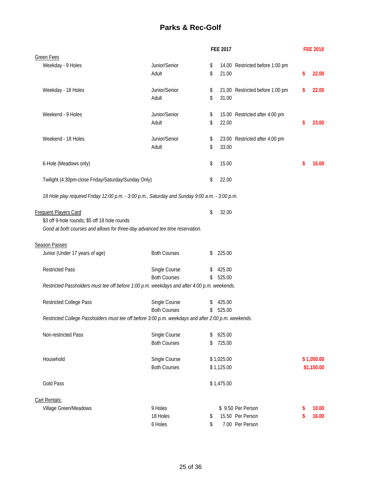## **Parks & Rec-Golf**

|                                                                                                     |                     | <b>FEE 2017</b> |                                 | <b>FEE 2018</b> |
|-----------------------------------------------------------------------------------------------------|---------------------|-----------------|---------------------------------|-----------------|
| <b>Green Fees</b>                                                                                   |                     |                 |                                 |                 |
| Weekday - 9 Holes                                                                                   | Junior/Senior       | \$              | 14.00 Restricted before 1:00 pm |                 |
|                                                                                                     | Adult               | \$<br>21.00     |                                 | \$<br>22.00     |
|                                                                                                     |                     |                 |                                 |                 |
| Weekday - 18 Holes                                                                                  | Junior/Senior       | \$              | 21.00 Restricted before 1:00 pm | \$<br>22.00     |
|                                                                                                     | Adult               | \$<br>31.00     |                                 |                 |
|                                                                                                     |                     |                 |                                 |                 |
| Weekend - 9 Holes                                                                                   | Junior/Senior       | \$              | 15.00 Restricted after 4:00 pm  |                 |
|                                                                                                     | Adult               | \$<br>22.00     |                                 | \$<br>23.00     |
|                                                                                                     |                     |                 |                                 |                 |
| Weekend - 18 Holes                                                                                  | Junior/Senior       | \$              | 23.00 Restricted after 4:00 pm  |                 |
|                                                                                                     | Adult               | \$<br>33.00     |                                 |                 |
|                                                                                                     |                     |                 |                                 |                 |
| 6-Hole (Meadows only)                                                                               |                     | \$<br>15.00     |                                 | \$<br>16.00     |
|                                                                                                     |                     |                 |                                 |                 |
| Twilight (4:30pm-close Friday/Saturday/Sunday Only)                                                 |                     | \$<br>22.00     |                                 |                 |
|                                                                                                     |                     |                 |                                 |                 |
| 18 Hole play required Friday 12:00 p.m. - 3:00 p.m., Saturday and Sunday 9:00 a.m. - 3:00 p.m.      |                     |                 |                                 |                 |
|                                                                                                     |                     |                 |                                 |                 |
|                                                                                                     |                     | \$<br>32.00     |                                 |                 |
| <b>Frequent Players Card</b><br>\$3 off 9-hole rounds; \$5 off 18 hole rounds                       |                     |                 |                                 |                 |
|                                                                                                     |                     |                 |                                 |                 |
| Good at both courses and allows for three-day advanced tee time reservation.                        |                     |                 |                                 |                 |
|                                                                                                     |                     |                 |                                 |                 |
| <b>Season Passes</b>                                                                                |                     |                 |                                 |                 |
| Junior (Under 17 years of age)                                                                      | <b>Both Courses</b> | \$<br>225.00    |                                 |                 |
|                                                                                                     |                     |                 |                                 |                 |
| <b>Restricted Pass</b>                                                                              | Single Course       | \$<br>425.00    |                                 |                 |
|                                                                                                     | <b>Both Courses</b> | \$<br>525.00    |                                 |                 |
| Restricted Passholders must tee off before 1:00 p.m. weekdays and after 4:00 p.m. weekends.         |                     |                 |                                 |                 |
|                                                                                                     |                     |                 |                                 |                 |
| Restricted College Pass                                                                             | Single Course       | \$<br>425.00    |                                 |                 |
|                                                                                                     | <b>Both Courses</b> | \$<br>525.00    |                                 |                 |
| Restricted College Passholders must tee off before 3:00 p.m. weekdays and after 2:00 p.m. weekends. |                     |                 |                                 |                 |
|                                                                                                     |                     |                 |                                 |                 |
| Non-restricted Pass                                                                                 | Single Course       | \$<br>625.00    |                                 |                 |
|                                                                                                     | <b>Both Courses</b> | \$<br>725.00    |                                 |                 |
|                                                                                                     |                     |                 |                                 |                 |
| Household                                                                                           | Single Course       | \$1,025.00      |                                 | \$1,050.00      |
|                                                                                                     | <b>Both Courses</b> | \$1,125.00      |                                 | \$1,150.00      |
|                                                                                                     |                     |                 |                                 |                 |
| Gold Pass                                                                                           |                     | \$1,475.00      |                                 |                 |
|                                                                                                     |                     |                 |                                 |                 |
| Cart Rentals:                                                                                       |                     |                 |                                 |                 |
| Village Green/Meadows                                                                               | 9 Holes             |                 | \$9.50 Per Person               | \$<br>10.00     |
|                                                                                                     | 18 Holes            | \$              | 15.50 Per Person                | \$<br>16.00     |
|                                                                                                     | 6 Holes             | \$              | 7.00 Per Person                 |                 |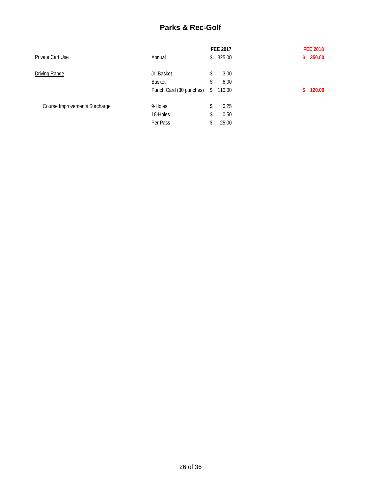## **Parks & Rec-Golf**

|                               |                         | FEE 2017     | <b>FEE 2018</b> |
|-------------------------------|-------------------------|--------------|-----------------|
| Private Cart Use              | Annual                  | \$<br>325.00 | 350.00<br>\$.   |
| Driving Range                 | Jr. Basket              | \$<br>3.00   |                 |
|                               | Basket                  | \$<br>6.00   |                 |
|                               | Punch Card (30 punches) | \$<br>110.00 | 120.00<br>\$.   |
| Course Improvements Surcharge | 9-Holes                 | \$<br>0.25   |                 |
|                               | 18-Holes                | \$<br>0.50   |                 |
|                               | Per Pass                | 25.00        |                 |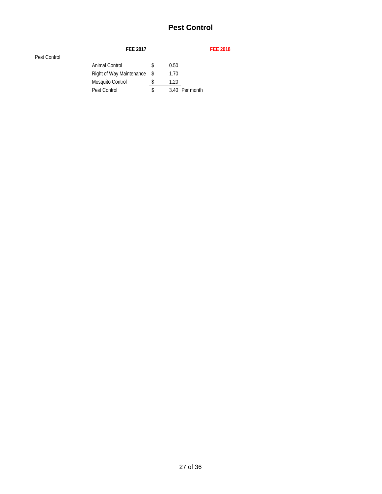# **Pest Control**

| <b>FEE 2017</b>  |    |                             |  | <b>FEE 2018</b> |
|------------------|----|-----------------------------|--|-----------------|
|                  |    |                             |  |                 |
| Animal Control   |    | 0.50                        |  |                 |
|                  |    | 1.70                        |  |                 |
| Mosquito Control |    | 1.20                        |  |                 |
| Pest Control     | S. |                             |  |                 |
|                  |    | Right of Way Maintenance \$ |  | 3.40 Per month  |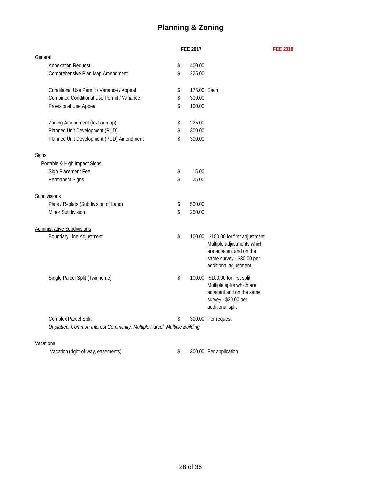# **Planning & Zoning**

|                                                                          | FEE 2017 |             |                                                                                                                                                      | <b>FEE 2018</b> |
|--------------------------------------------------------------------------|----------|-------------|------------------------------------------------------------------------------------------------------------------------------------------------------|-----------------|
| General                                                                  |          |             |                                                                                                                                                      |                 |
| <b>Annexation Request</b>                                                | \$       | 400.00      |                                                                                                                                                      |                 |
| Comprehensive Plan Map Amendment                                         | \$       | 225.00      |                                                                                                                                                      |                 |
| Conditional Use Permit / Variance / Appeal                               | \$       | 175.00 Each |                                                                                                                                                      |                 |
| Combined Conditional Use Permit / Variance                               | \$       | 300.00      |                                                                                                                                                      |                 |
| Provisional Use Appeal                                                   | \$       | 100.00      |                                                                                                                                                      |                 |
| Zoning Amendment (text or map)                                           | \$       | 225.00      |                                                                                                                                                      |                 |
| Planned Unit Development (PUD)                                           | \$       | 300.00      |                                                                                                                                                      |                 |
| Planned Unit Development (PUD) Amendment                                 | \$       | 300.00      |                                                                                                                                                      |                 |
| <b>Signs</b>                                                             |          |             |                                                                                                                                                      |                 |
| Portable & High Impact Signs                                             |          |             |                                                                                                                                                      |                 |
| Sign Placement Fee                                                       | \$       | 15.00       |                                                                                                                                                      |                 |
| Permanent Signs                                                          | \$       | 25.00       |                                                                                                                                                      |                 |
| Subdivisions                                                             |          |             |                                                                                                                                                      |                 |
| Plats / Replats (Subdivision of Land)                                    | \$       | 500.00      |                                                                                                                                                      |                 |
| Minor Subdivision                                                        | \$       | 250.00      |                                                                                                                                                      |                 |
| <b>Administrative Subdivisions</b>                                       |          |             |                                                                                                                                                      |                 |
| <b>Boundary Line Adjustment</b>                                          | \$       |             | 100.00 \$100.00 for first adjustment.<br>Multiple adjustments which<br>are adjacent and on the<br>same survey - \$30.00 per<br>additional adjustment |                 |
| Single Parcel Split (Twinhome)                                           | \$       |             | 100.00 \$100.00 for first split.<br>Multiple splits which are<br>adjacent and on the same<br>survey - \$30.00 per<br>additional split                |                 |
| Complex Parcel Split                                                     | \$       |             | 300.00 Per request                                                                                                                                   |                 |
| Unplatted, Common Interest Community, Multiple Parcel, Multiple Building |          |             |                                                                                                                                                      |                 |
| Vacations                                                                |          |             |                                                                                                                                                      |                 |

Vacation (right-of-way, easements) 300.00 Per application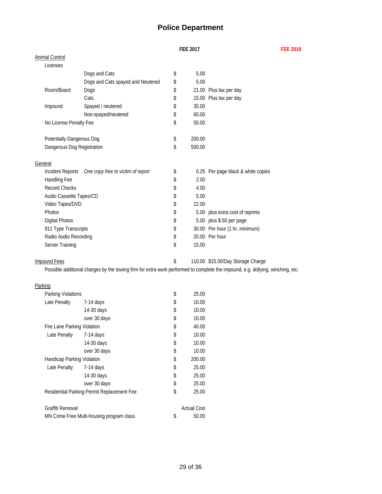## **Police Department**

**FEE 2017 FEE 2018**

|         | <b>Animal Control</b>      |                                   |              |                                    |
|---------|----------------------------|-----------------------------------|--------------|------------------------------------|
|         | Licenses                   |                                   |              |                                    |
|         |                            | Dogs and Cats                     | \$<br>5.00   |                                    |
|         |                            | Dogs and Cats spayed and Neutered | \$<br>5.00   |                                    |
|         | Room/Board                 | Dogs                              | \$           | 21.00 Plus tax per day             |
|         |                            | Cats                              | \$           | 15.00 Plus tax per day             |
|         | Impound                    | Spayed / neutered                 | \$<br>30.00  |                                    |
|         |                            | Non-spayed/neutered               | \$<br>60.00  |                                    |
|         | No License Penalty Fee     |                                   | \$<br>50.00  |                                    |
|         |                            |                                   |              |                                    |
|         | Potentially Dangerous Dog  |                                   | \$<br>200.00 |                                    |
|         | Dangerous Dog Registration |                                   | \$<br>500.00 |                                    |
|         |                            |                                   |              |                                    |
| General |                            |                                   |              |                                    |
|         | Incident Reports           | One copy free to victim of report | \$           | 0.25 Per page black & white copies |
|         | Handling Fee               |                                   | \$<br>2.00   |                                    |
|         | <b>Record Checks</b>       |                                   | \$<br>4.00   |                                    |
|         | Audio Cassette Tapes/CD    |                                   | \$<br>5.00   |                                    |
|         | Video Tapes/DVD            |                                   | \$<br>22.00  |                                    |
|         | Photos                     |                                   | \$           | 5.00 plus extra cost of reprints   |
|         | <b>Digital Photos</b>      |                                   | \$           | 5.00 plus \$.50 per page           |
|         | 911 Type Transcripts       |                                   | \$           | 30.00 Per hour (1 hr. minimum)     |
|         | Radio Audio Recording      |                                   | \$           | 20.00 Per hour                     |
|         | Server Training            |                                   | \$<br>15.00  |                                    |
|         |                            |                                   |              |                                    |

Impound Fees **\$15.00/Day Storage Charge** 110.00 \$15.00/Day Storage Charge

Possible additional charges by the towing firm for extra work performed to complete the impound, e.g. dollying, winching, etc.

#### Parking

| Parking Violations          |                                            | \$<br>25.00        |
|-----------------------------|--------------------------------------------|--------------------|
|                             |                                            |                    |
| Late Penalty                | 7-14 days                                  | \$<br>10.00        |
|                             | 14-30 days                                 | \$<br>10.00        |
|                             | over 30 days                               | \$<br>10.00        |
| Fire Lane Parking Violation |                                            | \$<br>40.00        |
| Late Penalty                | $7-14$ days                                | \$<br>10.00        |
|                             | 14-30 days                                 | \$<br>10.00        |
|                             | over 30 days                               | \$<br>10.00        |
| Handicap Parking Violation  |                                            | \$<br>200.00       |
| Late Penalty                | $7-14$ days                                | \$<br>25.00        |
|                             | 14-30 days                                 | \$<br>25.00        |
|                             | over 30 days                               | \$<br>25.00        |
|                             | Residential Parking Permit Replacement Fee | \$<br>25.00        |
|                             |                                            |                    |
| Graffiti Removal            |                                            | <b>Actual Cost</b> |
|                             | MN Crime Free Multi-housing program class  | \$<br>50.00        |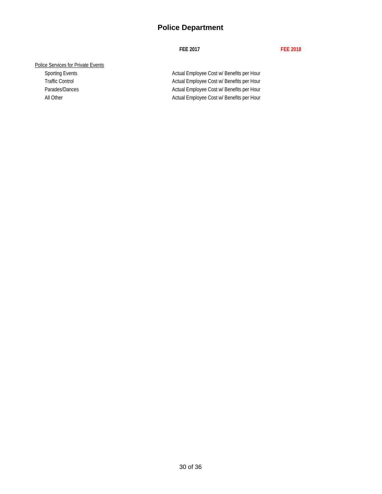## **Police Department**

#### **FEE 2017 FEE 2018**

#### Police Services for Private Events

Sporting Events **Actual Employee Cost w/ Benefits per Hour** Actual Employee Cost w/ Benefits per Hour Traffic Control **Actual Employee Cost w/ Benefits per Hour** Actual Employee Cost w/ Benefits per Hour Parades/Dances **Actual Employee Cost w/ Benefits per Hour** Actual Employee Cost w/ Benefits per Hour All Other All Other Actual Employee Cost w/ Benefits per Hour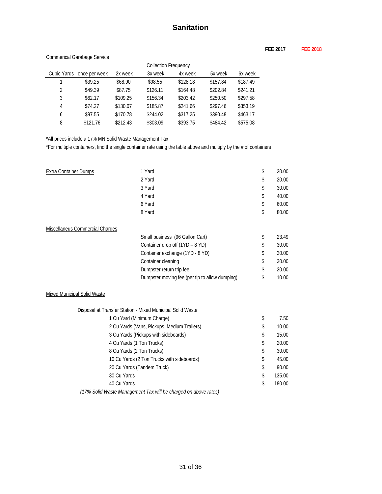#### **FEE 2017 FEE 2018**

#### Commerical Garabage Service

| <b>Collection Frequency</b> |                           |          |          |          |          |          |
|-----------------------------|---------------------------|----------|----------|----------|----------|----------|
|                             | Cubic Yards once per week | 2x week  | 3x week  | 4x week  | 5x week  | 6x week  |
|                             | \$39.25                   | \$68.90  | \$98.55  | \$128.18 | \$157.84 | \$187.49 |
| 2                           | \$49.39                   | \$87.75  | \$126.11 | \$164.48 | \$202.84 | \$241.21 |
| 3                           | \$62.17                   | \$109.25 | \$156.34 | \$203.42 | \$250.50 | \$297.58 |
| 4                           | \$74.27                   | \$130.07 | \$185.87 | \$241.66 | \$297.46 | \$353.19 |
| 6                           | \$97.55                   | \$170.78 | \$244.02 | \$317.25 | \$390.48 | \$463.17 |
| 8                           | \$121.76                  | \$212.43 | \$303.09 | \$393.75 | \$484.42 | \$575.08 |

\*All prices include a 17% MN Solid Waste Management Tax

\*For multiple containers, find the single container rate using the table above and multiply by the # of containers

| <b>Extra Container Dumps</b>    | 1 Yard                                         | \$<br>20.00 |
|---------------------------------|------------------------------------------------|-------------|
|                                 | 2 Yard                                         | \$<br>20.00 |
|                                 | 3 Yard                                         | \$<br>30.00 |
|                                 | 4 Yard                                         | \$<br>40.00 |
|                                 | 6 Yard                                         | \$<br>60.00 |
|                                 | 8 Yard                                         | \$<br>80.00 |
| Miscellaneus Commercial Charges |                                                |             |
|                                 | Small business (96 Gallon Cart)                | \$<br>23.49 |
|                                 | Container drop off (1YD - 8 YD)                | \$<br>30.00 |
|                                 | Container exchange (1YD - 8 YD)                | \$<br>30.00 |
|                                 | Container cleaning                             | \$<br>30.00 |
|                                 | Dumpster return trip fee                       | \$<br>20.00 |
|                                 | Dumpster moving fee (per tip to allow dumping) | \$<br>10.00 |

#### Mixed Municipal Solid Waste

| Disposal at Transfer Station - Mixed Municipal Solid Waste                             |              |
|----------------------------------------------------------------------------------------|--------------|
| 1 Cu Yard (Minimum Charge)                                                             | \$<br>7.50   |
| 2 Cu Yards (Vans, Pickups, Medium Trailers)                                            | \$<br>10.00  |
| 3 Cu Yards (Pickups with sideboards)                                                   | \$<br>15.00  |
| 4 Cu Yards (1 Ton Trucks)                                                              | \$<br>20.00  |
| 8 Cu Yards (2 Ton Trucks)                                                              | \$<br>30.00  |
| 10 Cu Yards (2 Ton Trucks with sideboards)                                             | \$<br>45.00  |
| 20 Cu Yards (Tandem Truck)                                                             | \$<br>90.00  |
| 30 Cu Yards                                                                            | \$<br>135.00 |
| 40 Cu Yards                                                                            | \$<br>180.00 |
| $(1.70 \ C \ V \cup M \ U \ I \ I \ I \ I \ I \ I \ I \ I \ I \ I \ I \ I \ I \ I \ I$ |              |

 *(17% Solid Waste Management Tax will be charged on above rates)*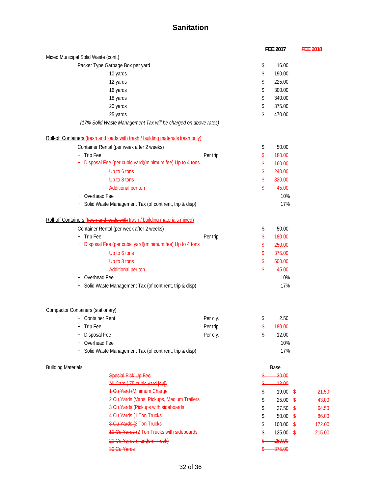|                                                                                  |          | FEE 2017            | <b>FEE 2018</b> |
|----------------------------------------------------------------------------------|----------|---------------------|-----------------|
| Mixed Municipal Solid Waste (cont.)                                              |          |                     |                 |
| Packer Type Garbage Box per yard                                                 |          | \$<br>16.00         |                 |
| 10 yards                                                                         |          | \$<br>190.00        |                 |
| 12 yards                                                                         |          | \$<br>225.00        |                 |
| 16 yards                                                                         |          | \$<br>300.00        |                 |
| 18 yards                                                                         |          | \$<br>340.00        |                 |
| 20 yards                                                                         |          | \$<br>375.00        |                 |
| 25 yards                                                                         |          | \$<br>470.00        |                 |
| (17% Solid Waste Management Tax will be charged on above rates)                  |          |                     |                 |
| Roll-off Containers (trash and loads with trash / building materials-trash only) |          |                     |                 |
| Container Rental (per week after 2 weeks)                                        |          | \$<br>50.00         |                 |
| Trip Fee<br>$\begin{array}{c} + \end{array}$                                     | Per trip | \$<br>180.00        |                 |
| Disposal Fee-(per cubic yard)(minimum fee) Up to 4 tons                          |          | \$<br>160.00        |                 |
| Up to 6 tons                                                                     |          | \$<br>240.00        |                 |
| Up to 8 tons                                                                     |          | \$<br>320.00        |                 |
| Additional per ton                                                               |          | \$<br>45.00         |                 |
| Overhead Fee<br>$^{+}$                                                           |          | 10%                 |                 |
| Solid Waste Management Tax (of cont rent, trip & disp)                           |          | 17%                 |                 |
| Roll-off Containers (trash and loads with trash / building materials mixed)      |          |                     |                 |
| Container Rental (per week after 2 weeks)                                        |          | \$<br>50.00         |                 |
| + Trip Fee                                                                       | Per trip | \$<br>180.00        |                 |
| Disposal Fee-(per-cubic yard)(minimum fee) Up to 4 tons<br>$\ddot{}$             |          | \$<br>250.00        |                 |
| Up to 6 tons                                                                     |          | \$<br>375.00        |                 |
| Up to 8 tons                                                                     |          | \$<br>500.00        |                 |
| Additional per ton                                                               |          | \$<br>45.00         |                 |
| Overhead Fee<br>$^{+}$                                                           |          | 10%                 |                 |
| Solid Waste Management Tax (of cont rent, trip & disp)                           |          | 17%                 |                 |
|                                                                                  |          |                     |                 |
| Compactor Containers (stationary)                                                |          |                     |                 |
| + Container Rent                                                                 | Per c.y. | \$<br>2.50          |                 |
| <b>Trip Fee</b><br>$^{+}$                                                        | Per trip | \$<br>180.00        |                 |
| Disposal Fee<br>$^{+}$                                                           | Per c.y. | \$<br>12.00         |                 |
| Overhead Fee<br>$\,{}^+$                                                         |          | 10%                 |                 |
| Solid Waste Management Tax (of cont rent, trip & disp)                           |          | 17%                 |                 |
| <b>Building Materials</b>                                                        |          | Base                |                 |
| <b>Special Pick Up Fee</b>                                                       |          | 30.00               |                 |
| All Cars (.75 cubic yard [cy])                                                   |          | 13.00               |                 |
| 1-Cu-Yard (Minimum Charge                                                        |          | \$<br>19.00<br>\$   | 21.50           |
| 2-Cu-Yards-(Vans, Pickups, Medium Trailers                                       |          | \$<br>25.00<br>\$   | 43.00           |
| 3-Cu-Yards (Pickups with sideboards                                              |          | \$<br>37.50<br>-\$  | 64.50           |
| 4-Cu-Yards (1 Ton Trucks                                                         |          | \$<br>50.00<br>\$   | 86.00           |
| 8 Cu Yards (2 Ton Trucks                                                         |          | \$<br>100.00<br>-\$ | 172.00          |
| 10 Cu Yards (2 Ton Trucks with sideboards                                        |          | \$<br>125.00<br>\$  | 215.00          |
| 20 Cu Yards (Tandem Truck)                                                       |          | 250.00              |                 |
| 30 Cu Yards                                                                      |          | 375.00              |                 |
|                                                                                  |          |                     |                 |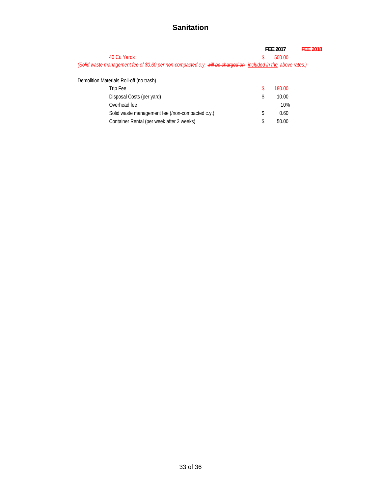|                                                                                                               | <b>FEE 2017</b> | <b>FFF 2018</b> |
|---------------------------------------------------------------------------------------------------------------|-----------------|-----------------|
| <u>AN Cu Varde</u>                                                                                            | 500.00          |                 |
| (Solid waste management fee of \$0.60 per non-compacted c.y. will be charged on included in the above rates.) |                 |                 |
|                                                                                                               |                 |                 |
| Demolition Materials Roll-off (no trash)                                                                      |                 |                 |
| Trip Fee                                                                                                      | 180.00          |                 |
| Disposal Costs (per yard)                                                                                     | \$<br>10.00     |                 |
| Overhead fee                                                                                                  | 10%             |                 |
| Solid waste management fee (/non-compacted c.y.)                                                              | \$<br>0.60      |                 |
| Container Rental (per week after 2 weeks)                                                                     | \$<br>50.00     |                 |
|                                                                                                               |                 |                 |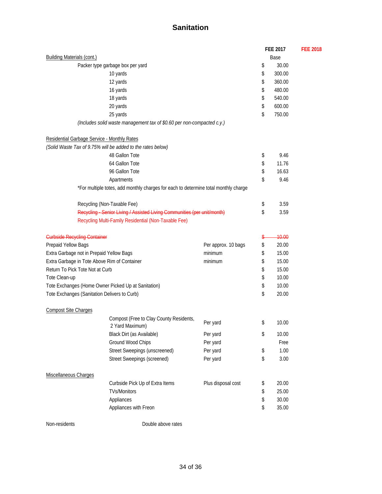|                                                     |                                                                                     |                     | FEE 2017 |        | <b>FEE 2018</b> |  |
|-----------------------------------------------------|-------------------------------------------------------------------------------------|---------------------|----------|--------|-----------------|--|
| <b>Building Materials (cont.)</b>                   |                                                                                     |                     | Base     |        |                 |  |
|                                                     | Packer type garbage box per yard                                                    |                     | \$       | 30.00  |                 |  |
|                                                     | 10 yards                                                                            |                     | \$       | 300.00 |                 |  |
|                                                     | 12 yards                                                                            |                     | \$       | 360.00 |                 |  |
|                                                     | 16 yards                                                                            |                     | \$       | 480.00 |                 |  |
|                                                     | 18 yards                                                                            |                     | \$       | 540.00 |                 |  |
|                                                     | 20 yards                                                                            |                     | \$       | 600.00 |                 |  |
|                                                     | 25 yards                                                                            |                     | \$       | 750.00 |                 |  |
|                                                     | (Includes solid waste management tax of \$0.60 per non-compacted c.y.)              |                     |          |        |                 |  |
| Residential Garbage Service - Monthly Rates         |                                                                                     |                     |          |        |                 |  |
|                                                     | (Solid Waste Tax of 9.75% will be added to the rates below)                         |                     |          |        |                 |  |
|                                                     | 48 Gallon Tote                                                                      |                     | \$       | 9.46   |                 |  |
|                                                     | 64 Gallon Tote                                                                      |                     | \$       | 11.76  |                 |  |
|                                                     | 96 Gallon Tote                                                                      |                     | \$       | 16.63  |                 |  |
|                                                     | Apartments                                                                          |                     | \$       | 9.46   |                 |  |
|                                                     | *For multiple totes, add monthly charges for each to determine total monthly charge |                     |          |        |                 |  |
|                                                     | Recycling (Non-Taxable Fee)                                                         |                     | \$       | 3.59   |                 |  |
|                                                     | Recycling - Senior Living / Assisted Living Communities (per unit/month)            |                     | \$       | 3.59   |                 |  |
|                                                     | Recycling Multi-Family Residential (Non-Taxable Fee)                                |                     |          |        |                 |  |
| <b>Curbside Recycling Container</b>                 |                                                                                     |                     | S        | 10.00  |                 |  |
| Prepaid Yellow Bags                                 |                                                                                     | Per approx. 10 bags | \$       | 20.00  |                 |  |
| Extra Garbage not in Prepaid Yellow Bags            |                                                                                     | minimum             | \$       | 15.00  |                 |  |
| Extra Garbage in Tote Above Rim of Container        |                                                                                     | minimum             | \$       | 15.00  |                 |  |
| Return To Pick Tote Not at Curb                     |                                                                                     |                     | \$       | 15.00  |                 |  |
| Tote Clean-up                                       |                                                                                     |                     | \$       | 10.00  |                 |  |
| Tote Exchanges (Home Owner Picked Up at Sanitation) |                                                                                     |                     | \$       | 10.00  |                 |  |
| Tote Exchanges (Sanitation Delivers to Curb)        |                                                                                     |                     | \$       | 20.00  |                 |  |
| <b>Compost Site Charges</b>                         |                                                                                     |                     |          |        |                 |  |
|                                                     | Compost (Free to Clay County Residents,<br>2 Yard Maximum)                          | Per yard            | \$       | 10.00  |                 |  |
|                                                     |                                                                                     |                     |          |        |                 |  |
|                                                     | Black Dirt (as Available)                                                           | Per yard            | \$       | 10.00  |                 |  |
|                                                     | Ground Wood Chips                                                                   | Per yard            |          | Free   |                 |  |
|                                                     | <b>Street Sweepings (unscreened)</b>                                                | Per yard            | \$       | 1.00   |                 |  |
|                                                     | <b>Street Sweepings (screened)</b>                                                  | Per yard            | \$       | 3.00   |                 |  |
| Miscellaneous Charges                               |                                                                                     |                     |          |        |                 |  |
|                                                     | Curbside Pick Up of Extra Items                                                     | Plus disposal cost  | \$       | 20.00  |                 |  |
|                                                     | <b>TVs/Monitors</b>                                                                 |                     | \$       | 25.00  |                 |  |
|                                                     | Appliances                                                                          |                     | \$       | 30.00  |                 |  |
|                                                     | Appliances with Freon                                                               |                     | \$       | 35.00  |                 |  |

Non-residents Double above rates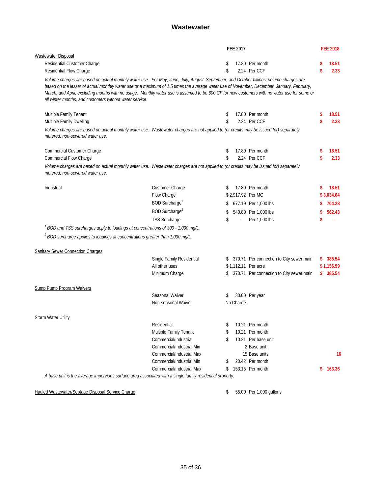#### **Wastewater**

|                                                                                                                                                                                                                                                                                                                                                                                                                                                                                               |                            |    | FEE 2017     |                                             |    | <b>FEE 2018</b> |      |
|-----------------------------------------------------------------------------------------------------------------------------------------------------------------------------------------------------------------------------------------------------------------------------------------------------------------------------------------------------------------------------------------------------------------------------------------------------------------------------------------------|----------------------------|----|--------------|---------------------------------------------|----|-----------------|------|
| Wastewater Disposal                                                                                                                                                                                                                                                                                                                                                                                                                                                                           |                            |    |              |                                             |    |                 |      |
| Residential Customer Charge                                                                                                                                                                                                                                                                                                                                                                                                                                                                   |                            | \$ |              | 17.80 Per month                             | \$ | 18.51           |      |
| Residential Flow Charge                                                                                                                                                                                                                                                                                                                                                                                                                                                                       |                            | \$ |              | 2.24 Per CCF                                | \$ |                 | 2.33 |
| Volume charges are based on actual monthly water use. For May, June, July, August, September, and October billings, volume charges are<br>based on the lesser of actual monthly water use or a maximum of 1.5 times the average water use of November, December, January, February,<br>March, and April, excluding months with no usage. Monthly water use is assumed to be 600 CF for new customers with no water use for some or<br>all winter months, and customers without water service. |                            |    |              |                                             |    |                 |      |
| Multiple Family Tenant                                                                                                                                                                                                                                                                                                                                                                                                                                                                        |                            | \$ |              | 17.80 Per month                             | S  | 18.51           |      |
| Multiple Family Dwelling                                                                                                                                                                                                                                                                                                                                                                                                                                                                      |                            | \$ |              | 2.24 Per CCF                                | \$ |                 | 2.33 |
| Volume charges are based on actual monthly water use. Wastewater charges are not applied to (or credits may be issued for) separately<br>metered, non-sewered water use.                                                                                                                                                                                                                                                                                                                      |                            |    |              |                                             |    |                 |      |
| Commercial Customer Charge                                                                                                                                                                                                                                                                                                                                                                                                                                                                    |                            | \$ |              | 17.80 Per month                             | \$ | 18.51           |      |
| <b>Commercial Flow Charge</b>                                                                                                                                                                                                                                                                                                                                                                                                                                                                 |                            | \$ |              | 2.24 Per CCF                                | \$ |                 | 2.33 |
| Volume charges are based on actual monthly water use. Wastewater charges are not applied to (or credits may be issued for) separately<br>metered, non-sewered water use.                                                                                                                                                                                                                                                                                                                      |                            |    |              |                                             |    |                 |      |
| Industrial                                                                                                                                                                                                                                                                                                                                                                                                                                                                                    | Customer Charge            | S  |              | 17.80 Per month                             | S  | 18.51           |      |
|                                                                                                                                                                                                                                                                                                                                                                                                                                                                                               | Flow Charge                |    |              | \$2,917.92 Per MG                           |    | \$3.034.64      |      |
|                                                                                                                                                                                                                                                                                                                                                                                                                                                                                               | BOD Surcharge <sup>1</sup> | \$ |              | 677.19 Per 1,000 lbs                        | S  | 704.28          |      |
|                                                                                                                                                                                                                                                                                                                                                                                                                                                                                               | BOD Surcharge <sup>2</sup> | \$ |              | 540.80 Per 1,000 lbs                        | \$ | 562.43          |      |
|                                                                                                                                                                                                                                                                                                                                                                                                                                                                                               | <b>TSS Surcharge</b>       | \$ | $\mathbb{Z}$ | Per 1,000 lbs                               | \$ |                 |      |
| <sup>1</sup> BOD and TSS surcharges apply to loadings at concentrations of 300 - 1,000 mg/L.                                                                                                                                                                                                                                                                                                                                                                                                  |                            |    |              |                                             |    |                 |      |
| <sup>2</sup> BOD surcharge applies to loadings at concentrations greater than 1,000 mg/L.                                                                                                                                                                                                                                                                                                                                                                                                     |                            |    |              |                                             |    |                 |      |
| <b>Sanitary Sewer Connection Charges</b>                                                                                                                                                                                                                                                                                                                                                                                                                                                      |                            |    |              |                                             |    |                 |      |
|                                                                                                                                                                                                                                                                                                                                                                                                                                                                                               | Single Family Residential  |    |              | \$ 370.71 Per connection to City sewer main | S. | 385.54          |      |
|                                                                                                                                                                                                                                                                                                                                                                                                                                                                                               | All other uses             |    |              | \$1,112.11 Per acre                         |    | \$1,156.59      |      |
|                                                                                                                                                                                                                                                                                                                                                                                                                                                                                               | Minimum Charge             |    |              | \$ 370.71 Per connection to City sewer main |    | \$385.54        |      |
| <b>Sump Pump Program Waivers</b>                                                                                                                                                                                                                                                                                                                                                                                                                                                              |                            |    |              |                                             |    |                 |      |
|                                                                                                                                                                                                                                                                                                                                                                                                                                                                                               | Seasonal Waiver            | \$ |              | 30.00 Per year                              |    |                 |      |
|                                                                                                                                                                                                                                                                                                                                                                                                                                                                                               | Non-seasonal Waiver        |    | No Charge    |                                             |    |                 |      |
| <b>Storm Water Utility</b>                                                                                                                                                                                                                                                                                                                                                                                                                                                                    |                            |    |              |                                             |    |                 |      |
|                                                                                                                                                                                                                                                                                                                                                                                                                                                                                               | Residential                |    |              | 10.21 Per month                             |    |                 |      |
|                                                                                                                                                                                                                                                                                                                                                                                                                                                                                               | Multiple Family Tenant     | \$ |              | 10.21 Per month                             |    |                 |      |
|                                                                                                                                                                                                                                                                                                                                                                                                                                                                                               | Commercial/Industrial      | \$ |              | 10.21 Per base unit                         |    |                 |      |
|                                                                                                                                                                                                                                                                                                                                                                                                                                                                                               | Commercial/Industrial Min  |    |              | 2 Base unit                                 |    |                 |      |
|                                                                                                                                                                                                                                                                                                                                                                                                                                                                                               | Commercial/Industrial Max  |    |              | 15 Base units                               |    |                 | 16   |
|                                                                                                                                                                                                                                                                                                                                                                                                                                                                                               | Commercial/Industrial Min  | \$ |              | 20.42 Per month                             |    |                 |      |
|                                                                                                                                                                                                                                                                                                                                                                                                                                                                                               | Commercial/Industrial Max  | \$ |              | 153.15 Per month                            | \$ | 163.36          |      |
| A base unit is the average impervious surface area associated with a single family residential property.                                                                                                                                                                                                                                                                                                                                                                                      |                            |    |              |                                             |    |                 |      |
| Hauled Wastewater/Septage Disposal Service Charge                                                                                                                                                                                                                                                                                                                                                                                                                                             |                            | \$ |              | 55.00 Per 1,000 gallons                     |    |                 |      |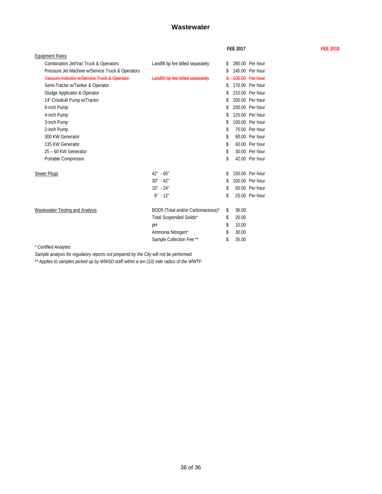#### **Wastewater**

|                                                  |                                    |    | <b>FEE 2017</b> |                 | <b>FEE 2018</b> |
|--------------------------------------------------|------------------------------------|----|-----------------|-----------------|-----------------|
| <b>Equipment Rates</b>                           |                                    |    |                 |                 |                 |
| Combination Jet/Vac Truck & Operators            | Landfill tip fee billed separately | S. |                 | 280.00 Per hour |                 |
| Pressure Jet Machine w/Service Truck & Operators |                                    | \$ |                 | 140.00 Per hour |                 |
| Vacuum Inductor w/Service Truck & Operator-      | Landfill tip fee billed separately |    |                 | 100.00 Per hour |                 |
| Semi-Tractor w/Tanker & Operator                 |                                    | S  |                 | 170.00 Per hour |                 |
| Sludge Applicator & Operator                     |                                    |    |                 | 210.00 Per hour |                 |
| 14" Crisafulli Pump w/Tractor                    |                                    |    |                 | 200.00 Per hour |                 |
| 6-inch Pump                                      |                                    | \$ |                 | 200.00 Per hour |                 |
| 4-inch Pump                                      |                                    |    |                 | 125.00 Per hour |                 |
| 3-inch Pump                                      |                                    |    |                 | 100.00 Per hour |                 |
| 2-inch Pump                                      |                                    | \$ |                 | 75.00 Per hour  |                 |
| 300 KW Generator                                 |                                    | \$ |                 | 90.00 Per hour  |                 |
| 135 KW Generator                                 |                                    | \$ |                 | 60.00 Per hour  |                 |
| 25 - 60 KW Generator                             |                                    | \$ |                 | 30.00 Per hour  |                 |
| Portable Compressor                              |                                    | \$ |                 | 42.00 Per hour  |                 |
| Sewer Plugs                                      | $42" - 60"$                        |    |                 | 150.00 Per hour |                 |
|                                                  | $30" - 42"$                        | \$ |                 | 100.00 Per hour |                 |
|                                                  | $15" - 24"$                        | S  |                 | 50.00 Per hour  |                 |
|                                                  | $6" - 12"$                         | \$ |                 | 25.00 Per hour  |                 |
| Wastewater Testing and Analysis                  | BOD5 (Total and/or Carbonaceous)*  | s. | 36.00           |                 |                 |
|                                                  | Total Suspended Solids*            | \$ | 20.00           |                 |                 |
|                                                  | pH                                 | \$ | 10.00           |                 |                 |
|                                                  | Ammonia Nitrogen*                  | \$ | 30.00           |                 |                 |
|                                                  | Sample Collection Fee **           | \$ | 35.00           |                 |                 |
| $*$ Cartifical Anothers                          |                                    |    |                 |                 |                 |

*\* Certified Analytes*

*Sample analysis for regulatory reports not prepared by the City will not be performed.*

*\*\* Applies to samples picked up by WWSD staff within a ten (10) mile radius of the WWTF.*